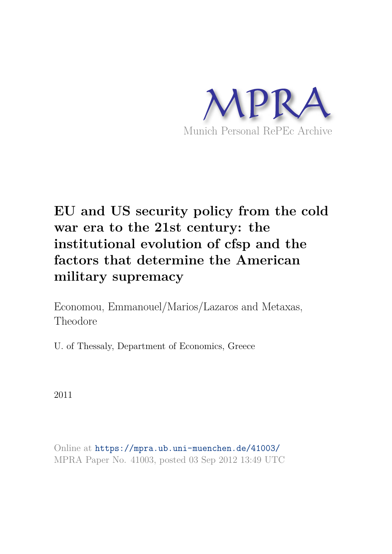

# **EU and US security policy from the cold war era to the 21st century: the institutional evolution of cfsp and the factors that determine the American military supremacy**

Economou, Emmanouel/Marios/Lazaros and Metaxas, Theodore

U. of Thessaly, Department of Economics, Greece

2011

Online at https://mpra.ub.uni-muenchen.de/41003/ MPRA Paper No. 41003, posted 03 Sep 2012 13:49 UTC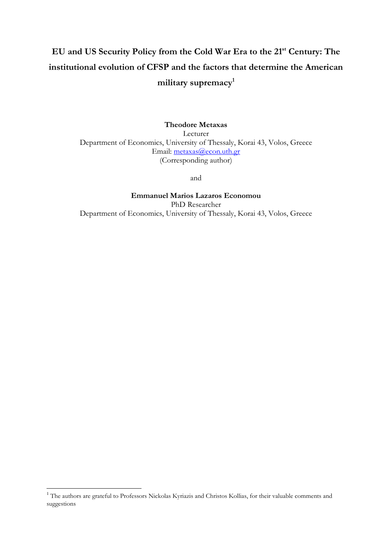## **EU and US Security Policy from the Cold War Era to the 21st Century: The institutional evolution of CFSP and the factors that determine the American military supremacy<sup>1</sup>**

**Theodore Metaxas**  Lecturer Department of Economics, University of Thessaly, Korai 43, Volos, Greece Email: [metaxas@econ.uth.gr](mailto:metaxas@econ.uth.gr) (Corresponding author)

and

**Emmanuel Marios Lazaros Economou**  PhD Researcher Department of Economics, University of Thessaly, Korai 43, Volos, Greece

<sup>&</sup>lt;sup>1</sup> The authors are grateful to Professors Nickolas Kyriazis and Christos Kollias, for their valuable comments and suggestions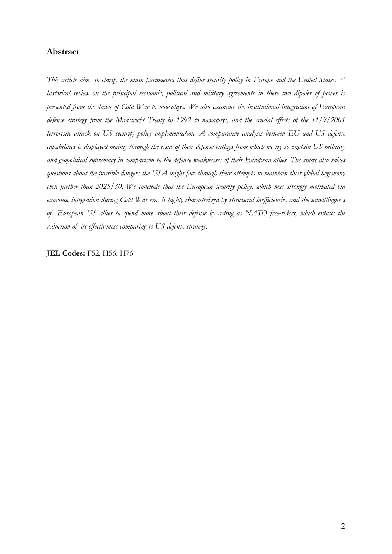#### **Abstract**

*This article aims to clarify the main parameters that define security policy in Europe and the United States. A historical review on the principal economic, political and military agreements in these two dipoles of power is presented from the dawn of Cold War to nowadays. We also examine the institutional integration of European defense strategy from the Maastricht Treaty in 1992 to nowadays, and the crucial effects of the 11/9/2001 terroristic attack on US security policy implementation. A comparative analysis between EU and US defense capabilities is displayed mainly through the issue of their defense outlays from which we try to explain US military and geopolitical supremacy in comparison to the defense weaknesses of their European allies. The study also raises questions about the possible dangers the USA might face through their attempts to maintain their global hegemony even further than 2025/30. We conclude that the European security policy, which was strongly motivated via economic integration during Cold War era, is highly characterized by structural inefficiencies and the unwillingness of European US allies to spend more about their defense by acting as NATO free-riders, which entails the reduction of its effectiveness comparing to US defense strategy.* 

**JEL Codes: F52, H56, H76**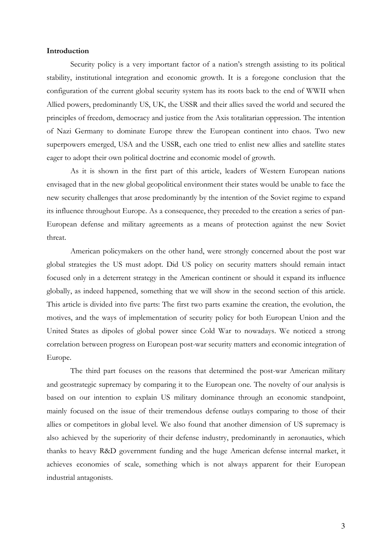#### **Introduction**

Security policy is a very important factor of a nation's strength assisting to its political stability, institutional integration and economic growth. It is a foregone conclusion that the configuration of the current global security system has its roots back to the end of WWII when Allied powers, predominantly US, UK, the USSR and their allies saved the world and secured the principles of freedom, democracy and justice from the Axis totalitarian oppression. The intention of Nazi Germany to dominate Europe threw the European continent into chaos. Two new superpowers emerged, USA and the USSR, each one tried to enlist new allies and satellite states eager to adopt their own political doctrine and economic model of growth.

As it is shown in the first part of this article, leaders of Western European nations envisaged that in the new global geopolitical environment their states would be unable to face the new security challenges that arose predominantly by the intention of the Soviet regime to expand its influence throughout Europe. As a consequence, they preceded to the creation a series of pan-European defense and military agreements as a means of protection against the new Soviet threat.

American policymakers on the other hand, were strongly concerned about the post war global strategies the US must adopt. Did US policy on security matters should remain intact focused only in a deterrent strategy in the American continent or should it expand its influence globally, as indeed happened, something that we will show in the second section of this article. This article is divided into five parts: The first two parts examine the creation, the evolution, the motives, and the ways of implementation of security policy for both European Union and the United States as dipoles of global power since Cold War to nowadays. We noticed a strong correlation between progress on European post-war security matters and economic integration of Europe.

The third part focuses on the reasons that determined the post-war American military and geostrategic supremacy by comparing it to the European one. The novelty of our analysis is based on our intention to explain US military dominance through an economic standpoint, mainly focused on the issue of their tremendous defense outlays comparing to those of their allies or competitors in global level. We also found that another dimension of US supremacy is also achieved by the superiority of their defense industry, predominantly in aeronautics, which thanks to heavy R&D government funding and the huge American defense internal market, it achieves economies of scale, something which is not always apparent for their European industrial antagonists.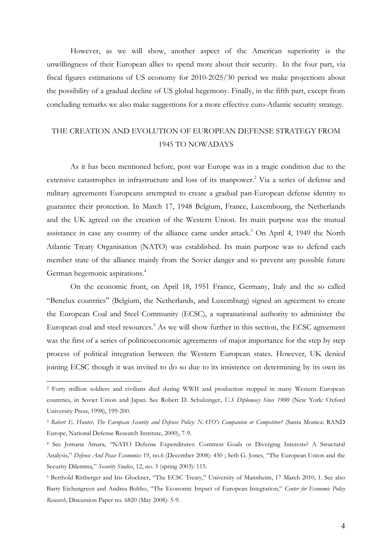However, as we will show, another aspect of the American superiority is the unwillingness of their European allies to spend more about their security. In the four part, via fiscal figures estimations of US economy for 2010-2025/30 period we make projections about the possibility of a gradual decline of US global hegemony. Finally, in the fifth part, except from concluding remarks we also make suggestions for a more effective euro-Atlantic security strategy.

### THE CREATION AND EVOLUTION OF EUROPEAN DEFENSE STRATEGY FROM 1945 TO NOWADAYS

As it has been mentioned before, post war Europe was in a tragic condition due to the extensive catastrophes in infrastructure and loss of its manpower.<sup>2</sup> Via a series of defense and military agreements Europeans attempted to create a gradual pan-European defense identity to guarantee their protection. In March 17, 1948 Belgium, France, Luxembourg, the Netherlands and the UK agreed on the creation of the Western Union. Its main purpose was the mutual assistance in case any country of the alliance came under attack.<sup>3</sup> On April 4, 1949 the North Atlantic Treaty Organisation (NATO) was established. Its main purpose was to defend each member state of the alliance mainly from the Soviet danger and to prevent any possible future German hegemonic aspirations.<sup>4</sup>

On the economic front, on April 18, 1951 France, Germany, Italy and the so called "Benelux countries" (Belgium, the Netherlands, and Luxemburg) signed an agreement to create the European Coal and Steel Community (ECSC), a supranational authority to administer the European coal and steel resources.<sup>5</sup> As we will show further in this section, the ECSC agreement was the first of a series of politicoeconomic agreements of major importance for the step by step process of political integration between the Western European states. However, UK denied joining ECSC though it was invited to do so due to its insistence on determining by its own its

<sup>2</sup> Forty million soldiers and civilians died during WWII and production stopped in many Western European countries, in Soviet Union and Japan. See Robert D. Schulzinger, *U.S Diplomacy Since 1900* (New York: Oxford University Press, 1998), 199-200.

<sup>3</sup>  *Robert E. Hunter, The European Security and Defense Policy: NATO's Companion or Competitor?* (Santa Monica: RAND Europe, National Defense Research Institute, 2000), 7-9.

<sup>4</sup> See Jomana Amara, "NATO Defense Expenditures: Common Goals or Diverging Interests? A Structural Analysis," *Defense And Peace Economics* 19, no.6 (December 2008): 450 ; Seth G. Jones, "The European Union and the Security Dilemma," *Security Studies*, 12, no. 3 (spring 2003): 115.

<sup>5</sup> Berthold Rittberger and Iris Glockner, "The ECSC Treaty," University of Mannheim, 17 March 2010, 1. See also Barry Eichengreen and Andrea Boltho, "The Economic Impact of European Integration," *Center for Economic Policy Research,* Discussion Paper no. 6820 (May 2008): 5-9.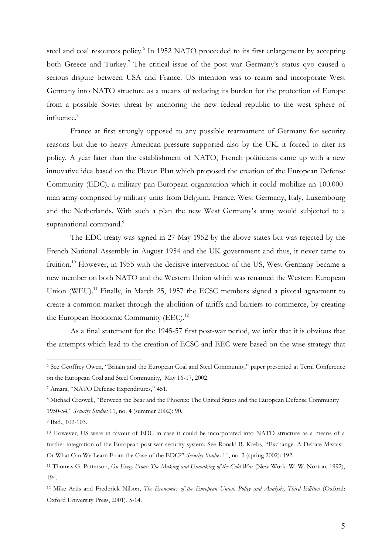steel and coal resources policy.<sup>6</sup> In 1952 NATO proceeded to its first enlargement by accepting both Greece and Turkey.<sup>7</sup> The critical issue of the post war Germany's status qvo caused a serious dispute between USA and France. US intention was to rearm and incorporate West Germany into NATO structure as a means of reducing its burden for the protection of Europe from a possible Soviet threat by anchoring the new federal republic to the west sphere of influence.<sup>8</sup>

France at first strongly opposed to any possible rearmament of Germany for security reasons but due to heavy American pressure supported also by the UK, it forced to alter its policy. A year later than the establishment of NATO, French politicians came up with a new innovative idea based on the Pleven Plan which proposed the creation of the European Defense Community (EDC), a military pan-European organisation which it could mobilize an 100.000 man army comprised by military units from Belgium, France, West Germany, Italy, Luxembourg and the Netherlands. With such a plan the new West Germany's army would subjected to a supranational command.<sup>9</sup>

The EDC treaty was signed in 27 May 1952 by the above states but was rejected by the French National Assembly in August 1954 and the UK government and thus, it never came to fruition.<sup>10</sup> However, in 1955 with the decisive intervention of the US, West Germany became a new member on both NATO and the Western Union which was renamed the Western European Union (WEU).<sup>11</sup> Finally, in March 25, 1957 the ECSC members signed a pivotal agreement to create a common market through the abolition of tariffs and barriers to commerce, by creating the European Economic Community (EEC).<sup>12</sup>

As a final statement for the 1945-57 first post-war period, we infer that it is obvious that the attempts which lead to the creation of ECSC and EEC were based on the wise strategy that

<sup>6</sup> See Geoffrey Owen, "Britain and the European Coal and Steel Community," paper presented at Terni Conference on the European Coal and Steel Community, May 16-17, 2002.

<sup>7</sup> Amara, "NATO Defense Expenditures," 451.

<sup>&</sup>lt;sup>8</sup> Michael Creswell, "Between the Bear and the Phoenix: The United States and the European Defense Community 1950-54," *Security Studies* 11, no. 4 (summer 2002): 90.

<sup>9</sup> Ibid., 102-103.

<sup>10</sup> However, US were in favour of EDC in case it could be incorporated into NATO structure as a means of a further integration of the European post war security system. See Ronald R. Krebs, "Exchange: A Debate Miscast-Or What Can We Learn From the Case of the EDC?" *Security Studies* 11, no. 3 (spring 2002): 192.

<sup>11</sup> Thomas G. Patterson, *On Every Front: The Making and Unmaking of the Cold War* (New Work: W. W. Norton, 1992), 194.

<sup>12</sup> Mike Artis and Frederick Nilson, *The Economics of the European Union, Policy and Analysis, Third Edition* (Oxford: Oxford University Press, 2001), 5-14.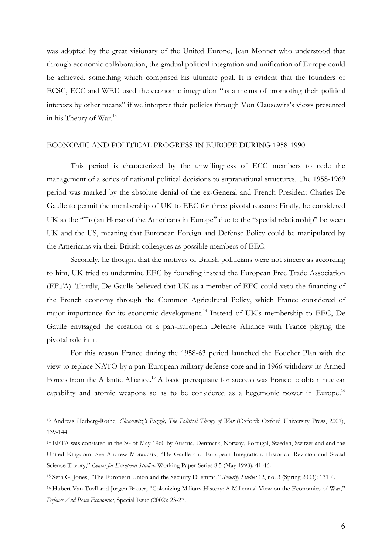was adopted by the great visionary of the United Europe, Jean Monnet who understood that through economic collaboration, the gradual political integration and unification of Europe could be achieved, something which comprised his ultimate goal. It is evident that the founders of ECSC, ECC and WEU used the economic integration "as a means of promoting their political interests by other means" if we interpret their policies through Von Clausewitz's views presented in his Theory of War.<sup>13</sup>

#### ECONOMIC AND POLITICAL PROGRESS IN EUROPE DURING 1958-1990.

This period is characterized by the unwillingness of ECC members to cede the management of a series of national political decisions to supranational structures. The 1958-1969 period was marked by the absolute denial of the ex-General and French President Charles De Gaulle to permit the membership of UK to EEC for three pivotal reasons: Firstly, he considered UK as the "Trojan Horse of the Americans in Europe" due to the "special relationship" between UK and the US, meaning that European Foreign and Defense Policy could be manipulated by the Americans via their British colleagues as possible members of EEC.

Secondly, he thought that the motives of British politicians were not sincere as according to him, UK tried to undermine EEC by founding instead the European Free Trade Association (EFTA). Thirdly, De Gaulle believed that UK as a member of EEC could veto the financing of the French economy through the Common Agricultural Policy, which France considered of major importance for its economic development.<sup>14</sup> Instead of UK's membership to EEC, De Gaulle envisaged the creation of a pan-European Defense Alliance with France playing the pivotal role in it.

For this reason France during the 1958-63 period launched the Fouchet Plan with the view to replace NATO by a pan-European military defense core and in 1966 withdraw its Armed Forces from the Atlantic Alliance.<sup>15</sup> A basic prerequisite for success was France to obtain nuclear capability and atomic weapons so as to be considered as a hegemonic power in Europe.<sup>16</sup>

<sup>13</sup> Andreas Herberg-Rothe*, Clausewitz's Puzzle, The Political Theory of War* (Oxford: Oxford University Press, 2007), 139-144.

<sup>14</sup> EFTA was consisted in the 3rd of May 1960 by [Austria,](http://en.wikipedia.org/wiki/Austria) [Denmark,](http://en.wikipedia.org/wiki/Denmark) [Norway,](http://en.wikipedia.org/wiki/Norway) [Portugal,](http://en.wikipedia.org/wiki/Portugal) [Sweden,](http://en.wikipedia.org/wiki/Sweden) [Switzerland](http://en.wikipedia.org/wiki/Switzerland) and the [United Kingdom.](http://en.wikipedia.org/wiki/United_Kingdom) See Andrew Moravcsik, "De Gaulle and European Integration: Ηistorical Revision and Social Science Theory," *Center for European Studies,* Working Paper Series 8.5 (May 1998): 41-46.

<sup>&</sup>lt;sup>15</sup> Seth G. Jones, "The European Union and the Security Dilemma," Security Studies 12, no. 3 (Spring 2003): 131-4.

<sup>&</sup>lt;sup>16</sup> Hubert Van Tuyll and Jurgen Brauer, "Colonizing Military History: A Millennial View on the Economics of War," *Defense And Peace Economics*, Special Issue (2002): 23-27.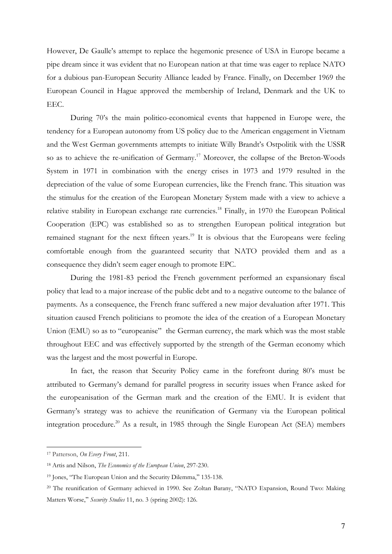However, De Gaulle's attempt to replace the hegemonic presence of USA in Europe became a pipe dream since it was evident that no European nation at that time was eager to replace NATO for a dubious pan-European Security Alliance leaded by France. Finally, on December 1969 the European Council in Hague approved the membership of Ireland, Denmark and the UK to EEC.

During 70's the main politico-economical events that happened in Europe were, the tendency for a European autonomy from US policy due to the American engagement in Vietnam and the West German governments attempts to initiate Willy Brandt's Ostpolitik with the USSR so as to achieve the re-unification of Germany.<sup>17</sup> Moreover, the collapse of the Breton-Woods System in 1971 in combination with the energy crises in 1973 and 1979 resulted in the depreciation of the value of some European currencies, like the French franc. This situation was the stimulus for the creation of the European Monetary System made with a view to achieve a relative stability in European exchange rate currencies.<sup>18</sup> Finally, in 1970 the European Political Cooperation (EPC) was established so as to strengthen European political integration but remained stagnant for the next fifteen years.<sup>19</sup> It is obvious that the Europeans were feeling comfortable enough from the guaranteed security that NATO provided them and as a consequence they didn't seem eager enough to promote EPC.

During the 1981-83 period the French government performed an expansionary fiscal policy that lead to a major increase of the public debt and to a negative outcome to the balance of payments. As a consequence, the French franc suffered a new major devaluation after 1971. This situation caused French politicians to promote the idea of the creation of a European Monetary Union (EMU) so as to "europeanise" the German currency, the mark which was the most stable throughout EEC and was effectively supported by the strength of the German economy which was the largest and the most powerful in Europe.

In fact, the reason that Security Policy came in the forefront during 80's must be attributed to Germany's demand for parallel progress in security issues when France asked for the europeanisation of the German mark and the creation of the EMU. It is evident that Germany's strategy was to achieve the reunification of Germany via the European political integration procedure.<sup>20</sup> As a result, in 1985 through the Single European Act (SEA) members

<sup>17</sup> Patterson, *On Every Front*, 211.

<sup>18</sup> Artis and Nilson, *The Economics of the European Union*, 297-230.

<sup>&</sup>lt;sup>19</sup> Jones, "The European Union and the Security Dilemma," 135-138.

<sup>20</sup> The reunification of Germany achieved in 1990. See Zoltan Barany, "NATO Expansion, Round Two: Making Matters Worse," Security Studies 11, no. 3 (spring 2002): 126.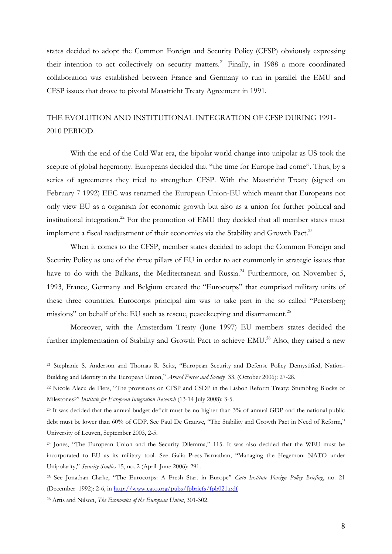states decided to adopt the Common Foreign and Security Policy (CFSP) obviously expressing their intention to act collectively on security matters.<sup>21</sup> Finally, in 1988 a more coordinated collaboration was established between France and Germany to run in parallel the EMU and CFSP issues that drove to pivotal Maastricht Treaty Agreement in 1991.

### THE EVOLUTION AND INSTITUTIONAL INTEGRATION OF CFSP DURING 1991- 2010 PERIOD.

With the end of the Cold War era, the bipolar world change into unipolar as US took the sceptre of global hegemony. Europeans decided that "the time for Europe had come". Thus, by a series of agreements they tried to strengthen CFSP. With the Maastricht Treaty (signed on February 7 1992) EEC was renamed the European Union-EU which meant that Europeans not only view EU as a organism for economic growth but also as a union for further political and institutional integration.<sup>22</sup> For the promotion of EMU they decided that all member states must implement a fiscal readjustment of their economies via the Stability and Growth Pact.<sup>23</sup>

When it comes to the CFSP, member states decided to adopt the Common Foreign and Security Policy as one of the three pillars of EU in order to act commonly in strategic issues that have to do with the Balkans, the Mediterranean and Russia.<sup>24</sup> Furthermore, on November 5, 1993, France, Germany and Belgium created the "Eurocorps" that comprised military units of these three countries. Eurocorps principal aim was to take part in the so called "Petersberg missions" on behalf of the EU such as rescue, peacekeeping and disarmament.<sup>25</sup>

Moreover, with the Amsterdam Treaty (June 1997) EU members states decided the further implementation of Stability and Growth Pact to achieve EMU.<sup>26</sup> Also, they raised a new

<sup>21</sup> Stephanie S. Anderson and Thomas R. Seitz, "European Security and Defense Policy Demystified, Nation-Building and Identity in the European Union," Armed Forces and Society 33, (October 2006): 27-28.

<sup>&</sup>lt;sup>22</sup> Nicole Alecu de Flers, "The provisions on CFSP and CSDP in the Lisbon Reform Treaty: Stumbling Blocks or Milestones?" *Institute for European Integration Research* (13-14 July 2008): 3-5.

<sup>&</sup>lt;sup>23</sup> It was decided that the annual budget deficit must be no higher than 3% of annual GDP and the national public debt must be lower than 60% of GDP. See Paul De Grauwe, "The Stability and Growth Pact in Need of Reform," University of Leuven, September 2003, 2-5.

<sup>&</sup>lt;sup>24</sup> Jones, "The European Union and the Security Dilemma," 115. It was also decided that the WEU must be incorporated to EU as its military tool. See Galia Press-Barnathan, "Managing the Hegemon: NATO under Unipolarity," *Security Studies* 15, no. 2 (April–June 2006): 291.

<sup>25</sup> See Jonathan Clarke, "The Eurocorps: A Fresh Start in Europe" *Cato Institute Foreign Policy Briefing*, no. 21 (December 1992): 2-6, in<http://www.cato.org/pubs/fpbriefs/fpb021.pdf>

<sup>26</sup> Artis and Nilson, *The Economics of the European Union*, 301-302.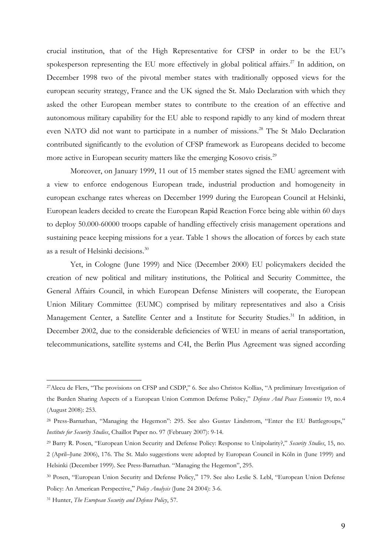crucial institution, that of the High Representative for CFSP in order to be the EU's spokesperson representing the EU more effectively in global political affairs.<sup>27</sup> In addition, on December 1998 two of the pivotal member states with traditionally opposed views for the european security strategy, France and the UK signed the St. Malo Declaration with which they asked the other European member states to contribute to the creation of an effective and autonomous military capability for the EU able to respond rapidly to any kind of modern threat even NATO did not want to participate in a number of missions.<sup>28</sup> The St Malo Declaration contributed significantly to the evolution of CFSP framework as Europeans decided to become more active in European security matters like the emerging Kosovo crisis.<sup>29</sup>

Moreover, on January 1999, 11 out of 15 member states signed the EMU agreement with a view to enforce endogenous European trade, industrial production and homogeneity in european exchange rates whereas on December 1999 during the European Council at Helsinki, European leaders decided to create the European Rapid Reaction Force being able within 60 days to deploy 50.000-60000 troops capable of handling effectively crisis management operations and sustaining peace keeping missions for a year. Table 1 shows the allocation of forces by each state as a result of Helsinki decisions.<sup>30</sup>

Yet, in Cologne (June 1999) and Nice (December 2000) EU policymakers decided the creation of new political and military institutions, the Political and Security Committee, the General Affairs Council, in which European Defense Ministers will cooperate, the [European](http://en.wikipedia.org/wiki/European_Union_Military_Committee)  [Union Military Committee](http://en.wikipedia.org/wiki/European_Union_Military_Committee) (EUMC) comprised by military representatives and also a Crisis Management Center, a Satellite Center and a Institute for Security Studies.<sup>31</sup> In addition, in December 2002, due to the considerable deficiencies of WEU in means of aerial transportation, telecommunications, satellite systems and C4I, the Berlin Plus Agreement was signed according

<sup>27</sup>Alecu de Flers, "The provisions on CFSP and CSDP," 6. See also Christos Kollias, "A preliminary Investigation of the Burden Sharing Aspects of a European Union Common Defense Policy," *Defense And Peace Economics* 19, no.4 (August 2008): 253.

<sup>28</sup> Press-Barnathan, "Managing the Hegemon": 295. See also Gustav Lindstrom, "Enter the EU Battlegroups," *Institute for Security Studies*, Chaillot Paper no. 97 (February 2007): 9-14.

<sup>29</sup> Barry R. Posen, "European Union Security and Defense Policy: Response to Unipolarity?," *Security Studies*, 15, no. 2 (April–June 2006), 176. The St. Malo suggestions were adopted by European Council in Köln in (June 1999) and Helsinki (December 1999). See Press-Barnathan. "Managing the Hegemon", 295.

<sup>&</sup>lt;sup>30</sup> Posen, "European Union Security and Defense Policy," 179. See also Leslie S. Lebl, "European Union Defense Policy: An American Perspective," Policy Analysis (June 24 2004): 3-6.

<sup>31</sup> Hunter, *The European Security and Defense Policy*, 57.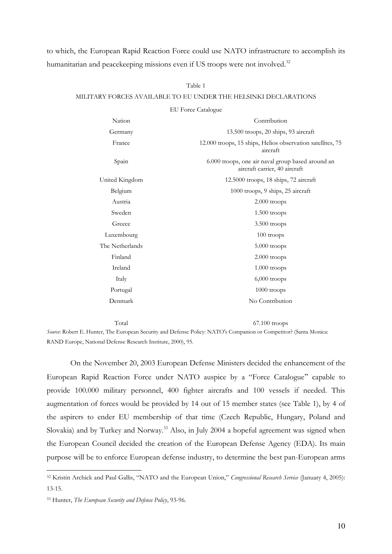### to which, the European Rapid Reaction Force could use NATO infrastructure to accomplish its humanitarian and peacekeeping missions even if US troops were not involved. $^{32}$

### Table 1 MILITARY FORCES AVAILABLE TO EU UNDER THE HELSINKI DECLARATIONS

|                 | <b>EU</b> Force Catalogue                                                          |
|-----------------|------------------------------------------------------------------------------------|
| Nation          | Contribution                                                                       |
| Germany         | 13.500 troops, 20 ships, 93 aircraft                                               |
| France          | 12.000 troops, 15 ships, Helios observation satellites, 75<br>aircraft             |
| Spain           | 6.000 troops, one air naval group based around an<br>aircraft carrier, 40 aircraft |
| United Kingdom  | 12.5000 troops, 18 ships, 72 aircraft                                              |
| Belgium         | 1000 troops, 9 ships, 25 aircraft                                                  |
| Austria         | $2.000$ troops                                                                     |
| Sweden          | $1.500$ troops                                                                     |
| Greece          | 3.500 troops                                                                       |
| Luxembourg      | $100$ troops                                                                       |
| The Netherlands | $5.000$ troops                                                                     |
| Finland         | 2.000 troops                                                                       |
| Ireland         | $1.000$ troops                                                                     |
| Italy           | $6,000$ troops                                                                     |
| Portugal        | $1000$ troops                                                                      |
| Denmark         | No Contribution                                                                    |
|                 |                                                                                    |

Total 67.100 troops

*Source*: Robert E. Hunter, The European Security and Defense Policy: NATO's Companion or Competitor? (Santa Monica: RAND Europe, National Defense Research Institute, 2000), 95.

On the November 20, 2003 European Defense Ministers decided the enhancement of the European Rapid Reaction Force under NATO auspice by a "Force Catalogue" capable to provide 100.000 military personnel, 400 fighter aircrafts and 100 vessels if needed. This augmentation of forces would be provided by 14 out of 15 member states (see Table 1), by 4 of the aspirers to ender EU membership of that time (Czech Republic, Hungary, Poland and Slovakia) and by Turkey and Norway.<sup>33</sup> Also, in July 2004 a hopeful agreement was signed when the European Council decided the creation of the European Defense Agency (EDA). Its main purpose will be to enforce European defense industry, to determine the best pan-European arms

<sup>32</sup> Kristin Archick and Paul Gallis, "NATO and the European Union," *Congressional Research Service* (January 4, 2005): 13-15.

<sup>33</sup> Hunter, *The European Security and Defense Policy*, 93-96.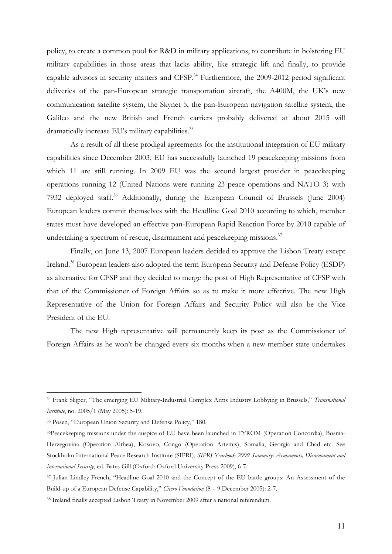policy, to create a common pool for R&D in military applications, to contribute in bolstering EU military capabilities in those areas that lacks ability, like strategic lift and finally, to provide capable advisors in security matters and CFSP.<sup>34</sup> Furthermore, the 2009-2012 period significant deliveries of the pan-European strategic transportation aircraft, the A400M, the UK's new communication satellite system, the Skynet 5, the pan-European navigation satellite system, the Galileo and the new British and French carriers probably delivered at about 2015 will dramatically increase EU's military capabilities.<sup>35</sup>

As a result of all these prodigal agreements for the institutional integration of EU military capabilities since December 2003, EU has successfully launched 19 peacekeeping missions from which 11 are still running. In 2009 EU was the second largest provider in peacekeeping operations running 12 (United Nations were running 23 peace operations and NATO 3) with 7932 deployed staff.<sup>36</sup> Additionally, during the European Council of Brussels (June 2004) European leaders commit themselves with the Headline Goal 2010 according to which, member states must have developed an effective pan-European Rapid Reaction Force by 2010 capable of undertaking a spectrum of rescue, disarmament and peacekeeping missions. $^{37}$ 

Finally, on June 13, 2007 European leaders decided to approve the Lisbon Treaty except Ireland.<sup>38</sup> European leaders also adopted the term European Security and Defense Policy (ESDP) as alternative for CFSP and they decided to merge the post of High Representative of CFSP with that of the Commissioner of Foreign Affairs so as to make it more effective. The new High Representative of the Union for Foreign Affairs and Security Policy will also be the Vice President of the EU.

The new High representative will permanently keep its post as the Commissioner of Foreign Affairs as he won't be changed every six months when a new member state undertakes

<sup>34</sup> Frank Slijper, "The emerging EU Military-Industrial Complex Arms Industry Lobbying in Brussels," *Transnational Institute*, no. 2005/1 (May 2005): 5-19.

<sup>35</sup> Posen, "European Union Security and Defense Policy," 180.

<sup>36</sup>Peacekeeping missions under the auspice of EU have been launched in FYROM (Operation Concordia), Bosnia-Herzegovina (Operation Althea), Kosovo, Congo (Operation Artemis), Somalia, Georgia and Chad etc. See Stockholm International Peace Research Institute (SIPRI), *SIPRI Yearbook 2009 Summary*: *Armaments, Disarmament and International Security*, ed. Bates Gill (Oxford: Oxford University Press 2009), 6-7.

<sup>37</sup> Julian Lindley-French, "Headline Goal 2010 and the Concept of the EU battle groups: An Assessment of the Build-up of a European Defense Capability," *Cicero Foundation* (8 – 9 December 2005): 2-7.

<sup>38</sup> Ireland finally accepted Lisbon Treaty in November 2009 after a national referendum.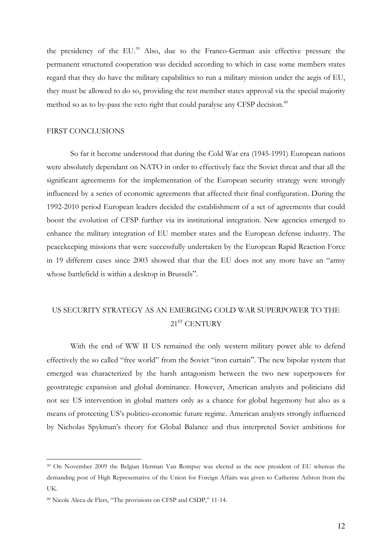the presidency of the EU.<sup>39</sup> Also, due to the Franco-German axis effective pressure the permanent structured cooperation was decided according to which in case some members states regard that they do have the military capabilities to run a military mission under the aegis of EU, they must be allowed to do so, providing the rest member states approval via the special majority method so as to by-pass the veto right that could paralyse any CFSP decision.<sup>40</sup>

#### FIRST CONCLUSIONS

So far it become understood that during the Cold War era (1945-1991) European nations were absolutely dependant on NATO in order to effectively face the Soviet threat and that all the significant agreements for the implementation of the European security strategy were strongly influenced by a series of economic agreements that affected their final configuration. During the 1992-2010 period European leaders decided the establishment of a set of agreements that could boost the evolution of CFSP further via its institutional integration. New agencies emerged to enhance the military integration of EU member states and the European defense industry. The peacekeeping missions that were successfully undertaken by the European Rapid Reaction Force in 19 different cases since 2003 showed that that the EU does not any more have an "army whose battlefield is within a desktop in Brussels".

### US SECURITY STRATEGY AS AN EMERGING COLD WAR SUPERPOWER TO THE 21<sup>ST</sup> CENTURY

With the end of WW II US remained the only western military power able to defend effectively the so called "free world" from the Soviet "iron curtain". The new bipolar system that emerged was characterized by the harsh antagonism between the two new superpowers for geostrategic expansion and global dominance. However, American analysts and politicians did not see US intervention in global matters only as a chance for global hegemony but also as a means of protecting US's politico-economic future regime. American analysts strongly influenced by Nicholas Spykman's theory for Global Balance and thus interpreted Soviet ambitions for

<sup>39</sup> On November 2009 the Belgian Herman Van Rompuy was elected as the new president of EU whereas the demanding post of High Representative of the Union for Foreign Affairs was given to Catherine Ashton from the UK.

<sup>40</sup> Nicole Alecu de Flers, "The provisions on CFSP and CSDP," 11-14.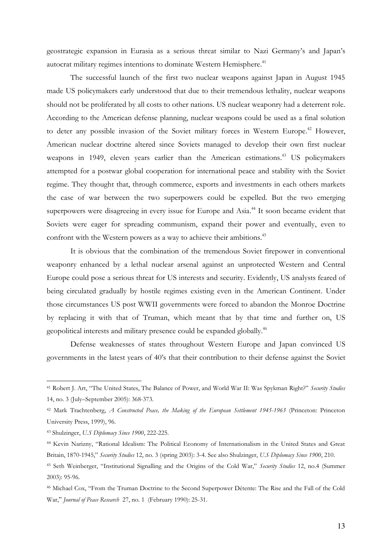geostrategic expansion in Eurasia as a serious threat similar to Nazi Germany's and Japan's autocrat military regimes intentions to dominate Western Hemisphere. $^{41}$ 

The successful launch of the first two nuclear weapons against Japan in August 1945 made US policymakers early understood that due to their tremendous lethality, nuclear weapons should not be proliferated by all costs to other nations. US nuclear weaponry had a deterrent role. According to the American defense planning, nuclear weapons could be used as a final solution to deter any possible invasion of the Soviet military forces in Western Europe.<sup>42</sup> However, American nuclear doctrine altered since Soviets managed to develop their own first nuclear weapons in 1949, eleven years earlier than the American estimations.<sup>43</sup> US policymakers attempted for a postwar global cooperation for international peace and stability with the Soviet regime. They thought that, through commerce, exports and investments in each others markets the case of war between the two superpowers could be expelled. But the two emerging superpowers were disagreeing in every issue for Europe and Asia.<sup>44</sup> It soon became evident that Soviets were eager for spreading communism, expand their power and eventually, even to confront with the Western powers as a way to achieve their ambitions.<sup>45</sup>

It is obvious that the combination of the tremendous Soviet firepower in conventional weaponry enhanced by a lethal nuclear arsenal against an unprotected Western and Central Europe could pose a serious threat for US interests and security. Evidently, US analysts feared of being circulated gradually by hostile regimes existing even in the American Continent. Under those circumstances US post WWII governments were forced to abandon the Monroe Doctrine by replacing it with that of Truman, which meant that by that time and further on, US geopolitical interests and military presence could be expanded globally.<sup>46</sup>

Defense weaknesses of states throughout Western Europe and Japan convinced US governments in the latest years of 40's that their contribution to their defense against the Soviet

<sup>41</sup> Robert J. Art, "The United States, The Balance of Power, and World War II: Was Spykman Right?" *Security Studies* 14, no. 3 (July–September 2005): 368-373.

<sup>42</sup> Mark Trachtenberg, *A Constructed Peace, the Making of the European Settlement 1945-1963* (Princeton: Princeton University Press, 1999), 96.

<sup>43</sup> Shulzinger, *U.S Diplomacy Since 1900*, 222-225.

<sup>44</sup> Kevin Narizny, "Rational Idealism: The Political Economy of Internationalism in the United States and Great Britain, 1870-1945," *Security Studies* 12, no. 3 (spring 2003): 3-4. See also Shulzinger, *U.S Diplomacy Since 1900*, 210.

<sup>45</sup> Seth Weinberger, "Institutional Signalling and the Origins of the Cold War," *Security Studies* 12, no.4 (Summer 2003): 95-96.

<sup>46</sup> Michael Cox, "From the Truman Doctrine to the Second Superpower Détente: The Rise and the Fall of the Cold War," *Journal of Peace Research* 27, no. 1 (February 1990): 25-31.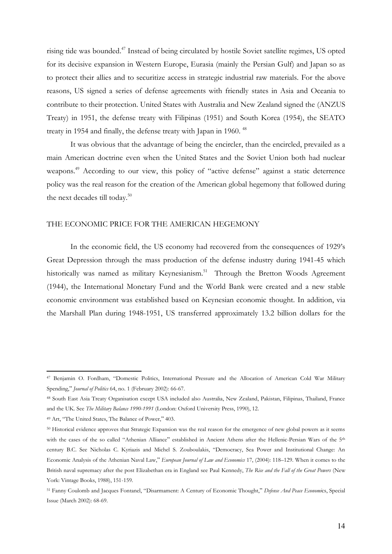rising tide was bounded.<sup>47</sup> Instead of being circulated by hostile Soviet satellite regimes, US opted for its decisive expansion in Western Europe, Eurasia (mainly the Persian Gulf) and Japan so as to protect their allies and to securitize access in strategic industrial raw materials. For the above reasons, US signed a series of defense agreements with friendly states in Asia and Oceania to contribute to their protection. United States with Australia and New Zealand signed the (ANZUS Treaty) in 1951, the defense treaty with Filipinas (1951) and South Korea (1954), the SEATO treaty in 1954 and finally, the defense treaty with Japan in 1960. <sup>48</sup>

It was obvious that the advantage of being the encircler, than the encircled, prevailed as a main American doctrine even when the United States and the Soviet Union both had nuclear weapons.<sup>49</sup> According to our view, this policy of "active defense" against a static deterrence policy was the real reason for the creation of the American global hegemony that followed during the next decades till today.<sup>50</sup>

#### THE ECONOMIC PRICE FOR THE AMERICAN HEGEMONY

In the economic field, the US economy had recovered from the consequences of 1929's Great Depression through the mass production of the defense industry during 1941-45 which historically was named as military Keynesianism.<sup>51</sup> Through the Bretton Woods Agreement (1944), the International Monetary Fund and the World Bank were created and a new stable economic environment was established based on Keynesian economic thought. In addition, via the Marshall Plan during 1948-1951, US transferred approximately 13.2 billion dollars for the

<sup>47</sup> Benjamin O. Fordham, "Domestic Politics, International Pressure and the Allocation of American Cold War Military Spending,ˮ *Journal of Politics* 64, no. 1 (February 2002): 66-67.

<sup>48</sup> South East Asia Treaty Organisation except USA included also Australia, New Zealand, Pakistan, Filipinas, Thailand, France and the UK. See *The Military Balance 1990-1991* (London: Oxford University Press, 1990), 12.

<sup>&</sup>lt;sup>49</sup> Art, "The United States, The Balance of Power," 403.

<sup>50</sup> Historical evidence approves that Strategic Expansion was the real reason for the emergence of new global powers as it seems with the cases of the so called "Athenian Alliance" established in Ancient Athens after the Hellenic-Persian Wars of the 5<sup>th</sup> century B.C. See Nicholas C. Kyriazis and Michel S. Zouboulakis, "Democracy, Sea Power and Institutional Change: An Economic Analysis of the Athenian Naval Law," *European Journal of Law and Economics* 17, (2004): 118–129. When it comes to the British naval supremacy after the post Elizabethan era in England see Paul Kennedy, *The Rise and the Fall of the Great Powers* (New York: Vintage Books, 1988), 151-159.

<sup>51</sup> Fanny Coulomb and Jacques Fontanel, "Disarmament: A Century of Economic Thought," Defense And Peace Economics, Special Issue (March 2002): 68-69.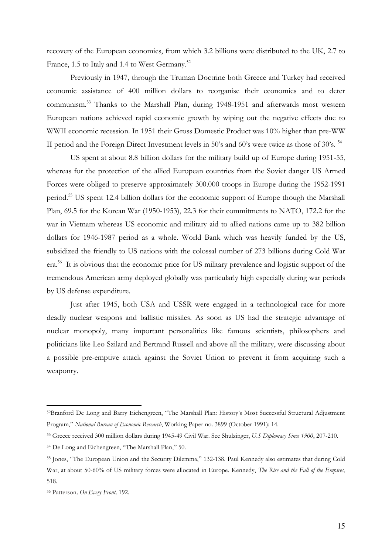recovery of the European economies, from which 3.2 billions were distributed to the UK, 2.7 to France, 1.5 to Italy and 1.4 to West Germany.<sup>52</sup>

 Previously in 1947, through the Truman Doctrine both Greece and Turkey had received economic assistance of 400 million dollars to reorganise their economies and to deter communism.<sup>53</sup> Thanks to the Marshall Plan, during 1948-1951 and afterwards most western European nations achieved rapid economic growth by wiping out the negative effects due to WWII economic recession. In 1951 their Gross Domestic Product was 10% higher than pre-WW II period and the Foreign Direct Investment levels in 50's and 60's were twice as those of 30's.<sup>54</sup>

US spent at about 8.8 billion dollars for the military build up of Europe during 1951-55, whereas for the protection of the allied European countries from the Soviet danger US Armed Forces were obliged to preserve approximately 300.000 troops in Europe during the 1952-1991 period.<sup>55</sup> US spent 12.4 billion dollars for the economic support of Europe though the Marshall Plan, 69.5 for the Korean War (1950-1953), 22.3 for their commitments to NATO, 172.2 for the war in Vietnam whereas US economic and military aid to allied nations came up to 382 billion dollars for 1946-1987 period as a whole. World Bank which was heavily funded by the US, subsidized the friendly to US nations with the colossal number of 273 billions during Cold War era.<sup>56</sup> It is obvious that the economic price for US military prevalence and logistic support of the tremendous American army deployed globally was particularly high especially during war periods by US defense expenditure.

Just after 1945, both USA and USSR were engaged in a technological race for more deadly nuclear weapons and ballistic missiles. As soon as US had the strategic advantage of nuclear monopoly, many important personalities like famous scientists, philosophers and politicians like Leo Szilard and Bertrand Russell and above all the military, were discussing about a possible pre-emptive attack against the Soviet Union to prevent it from acquiring such a weaponry.

<sup>52</sup>Βranford De Long and Βarry Eichengreen, "The Marshall Plan: History's Most Successful Structural Adjustment Program," National Bureau of Economic Research, Working Paper no. 3899 (October 1991): 14.

<sup>53</sup> Greece received 300 million dollars during 1945-49 Civil War. See Shulzinger, *U.S Diplomacy Since 1900*, 207-210.

<sup>54</sup> De Long and Eichengreen, "The Marshall Plan," 50.

<sup>55</sup> Jones, "The European Union and the Security Dilemma," 132-138. Paul Kennedy also estimates that during Cold War, at about 50-60% of US military forces were allocated in Europe. Kennedy, *The Rise and the Fall of the Empires*, 518.

<sup>56</sup> Patterson*, On Every Front,* 192.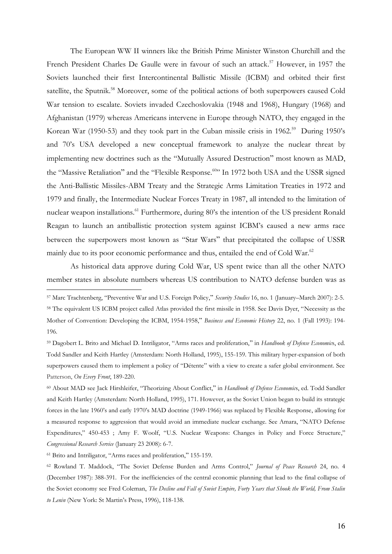The European WW II winners like the British Prime Minister Winston Churchill and the French President Charles De Gaulle were in favour of such an attack.<sup>57</sup> However, in 1957 the Soviets launched their first Intercontinental Ballistic Missile (ICBM) and orbited their first satellite, the Sputnik.<sup>58</sup> Moreover, some of the political actions of both superpowers caused Cold War tension to escalate. Soviets invaded Czechoslovakia (1948 and 1968), Hungary (1968) and Afghanistan (1979) whereas Americans intervene in Europe through NATO, they engaged in the Korean War (1950-53) and they took part in the Cuban missile crisis in 1962.<sup>59</sup> During 1950's and 70's USA developed a new conceptual framework to analyze the nuclear threat by implementing new doctrines such as the "Mutually Assured Destruction" most known as MAD, the "Massive Retaliation" and the "Flexible Response.<sup>60</sup>" In 1972 both USA and the USSR signed the Anti-Ballistic Missiles-ABM Treaty and the Strategic Arms Limitation Treaties in 1972 and 1979 and finally, the Intermediate Nuclear Forces Treaty in 1987, all intended to the limitation of nuclear weapon installations.<sup>61</sup> Furthermore, during 80's the intention of the US president Ronald Reagan to launch an antiballistic protection system against ICBM's caused a new arms race between the superpowers most known as "Star Wars" that precipitated the collapse of USSR mainly due to its poor economic performance and thus, entailed the end of Cold War.<sup>62</sup>

As historical data approve during Cold War, US spent twice than all the other NATO member states in absolute numbers whereas US contribution to NATO defense burden was as

 $\overline{a}$ 

<sup>57</sup> Marc Trachtenberg, "Preventive War and U.S. Foreign Policy,ˮ *Security Studies* 16, no. 1 (January–March 2007): 2-5.

<sup>58</sup> The equivalent US ICBM project called Atlas provided the first missile in 1958. See Davis Dyer, "Necessity as the Mother of Convention: Developing the ICBM, 1954-1958," *Business and Economic History* 22, no. 1 (Fall 1993): 194-196.

<sup>59</sup> Dagobert L. Brito and Michael D. Intriligator, "Arms races and proliferation," in *Handbook of Defense Economic*s, ed. Todd Sandler and Keith Hartley (Amsterdam: North Holland, 1995), 155-159. This military hyper-expansion of both superpowers caused them to implement a policy of "Détente" with a view to create a safer global environment. See Patterson, *On Every Front*, 189-220.

<sup>&</sup>lt;sup>60</sup> About MAD see Jack Hirshleifer, "Theorizing About Conflict," in *Handbook of Defense Economic*s, ed. Todd Sandler and Keith Hartley (Amsterdam: North Holland, 1995), 171. However, as the Soviet Union began to build its strategic forces in the late 1960's and early 1970's MAD doctrine (1949-1966) was replaced by Flexible Response, allowing for a measured response to aggression that would avoid an immediate nuclear exchange. See Amara, "NATO Defense Expenditures," 450-453 ; Amy F. Woolf, "U.S. Nuclear Weapons: Changes in Policy and Force Structure," *Congressional Research Service* (January 23 2008): 6-7.

<sup>&</sup>lt;sup>61</sup> Brito and Intriligator, "Arms races and proliferation," 155-159.

<sup>62</sup> Rowland T. Maddock, "The Soviet Defense Burden and Arms Control," *Journal of Peace Research* 24, no. 4 (December 1987): 388-391. For the inefficiencies of the central economic planning that lead to the final collapse of the Soviet economy see Fred Coleman, *The Decline and Fall of Soviet Empire, Forty Years that Shook the World, From Stalin to Lenin* (New York: St Martin's Press, 1996), 118-138.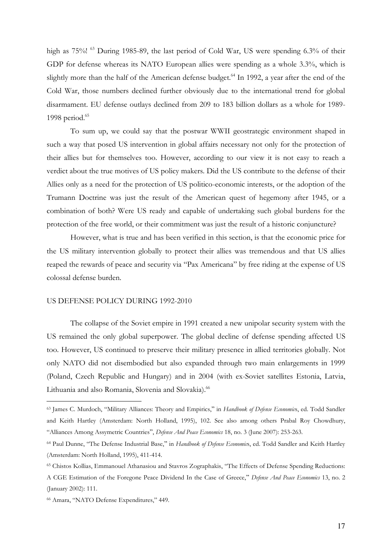high as 75%! <sup>63</sup> During 1985-89, the last period of Cold War, US were spending 6.3% of their GDP for defense whereas its NATO European allies were spending as a whole 3.3%, which is slightly more than the half of the American defense budget.<sup>64</sup> In 1992, a year after the end of the Cold War, those numbers declined further obviously due to the international trend for global disarmament. EU defense outlays declined from 209 to 183 billion dollars as a whole for 1989- 1998 period.<sup>65</sup>

To sum up, we could say that the postwar WWII geostrategic environment shaped in such a way that posed US intervention in global affairs necessary not only for the protection of their allies but for themselves too. However, according to our view it is not easy to reach a verdict about the true motives of US policy makers. Did the US contribute to the defense of their Allies only as a need for the protection of US politico-economic interests, or the adoption of the Trumann Doctrine was just the result of the American quest of hegemony after 1945, or a combination of both? Were US ready and capable of undertaking such global burdens for the protection of the free world, or their commitment was just the result of a historic conjuncture?

However, what is true and has been verified in this section, is that the economic price for the US military intervention globally to protect their allies was tremendous and that US allies reaped the rewards of peace and security via "Pax Americana" by free riding at the expense of US colossal defense burden.

#### US DEFENSE POLICY DURING 1992-2010

The collapse of the Soviet empire in 1991 created a new unipolar security system with the US remained the only global superpower. The global decline of defense spending affected US too. However, US continued to preserve their military presence in allied territories globally. Not only NATO did not disembodied but also expanded through two main enlargements in 1999 (Poland, Czech Republic and Hungary) and in 2004 (with ex-Soviet satellites Estonia, Latvia, Lithuania and also Romania, Slovenia and Slovakia).<sup>66</sup>

<sup>&</sup>lt;sup>63</sup> James C. Murdoch, "Military Alliances: Theory and Empirics," in *Handbook of Defense Economic*s, ed. Todd Sandler and Keith Hartley (Amsterdam: North Holland, 1995), 102. See also among others Prabal Roy Chowdhury, "Alliances Among Assymetric Countries", *Defense And Peace Economics* 18, no. 3 (June 2007): 253-263.

<sup>&</sup>lt;sup>64</sup> Paul Dunne, "The Defense Industrial Base," in *Handbook of Defense Economic*s, ed. Todd Sandler and Keith Hartley (Amsterdam: North Holland, 1995), 411-414.

<sup>65</sup> Chistos Kollias, Emmanouel Athanasiou and Stavros Zographakis, "The Effects of Defense Spending Reductions: A CGE Estimation of the Foregone Peace Dividend In the Case of Greece," Defense And Peace Economics 13, no. 2 (January 2002): 111.

<sup>66</sup> Amara, "NATO Defense Expenditures," 449.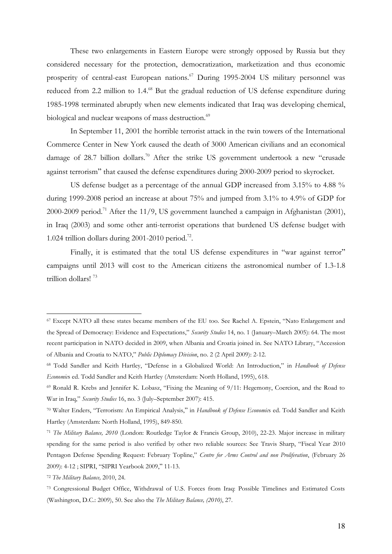These two enlargements in Eastern Europe were strongly opposed by Russia but they considered necessary for the protection, democratization, marketization and thus economic prosperity of central-east European nations.<sup>67</sup> During 1995-2004 US military personnel was reduced from 2.2 million to 1.4.<sup>68</sup> But the gradual reduction of US defense expenditure during 1985-1998 terminated abruptly when new elements indicated that Iraq was developing chemical, biological and nuclear weapons of mass destruction.<sup>69</sup>

In September 11, 2001 the horrible terrorist attack in the twin towers of the International Commerce Center in New York caused the death of 3000 American civilians and an economical damage of 28.7 billion dollars.<sup>70</sup> After the strike US government undertook a new "crusade" against terrorism" that caused the defense expenditures during 2000-2009 period to skyrocket.

US defense budget as a percentage of the annual GDP increased from 3.15% to 4.88 % during 1999-2008 period an increase at about 75% and jumped from 3.1% to 4.9% of GDP for 2000-2009 period.<sup>71</sup> After the 11/9, US government launched a campaign in Afghanistan (2001), in Iraq (2003) and some other anti-terrorist operations that burdened US defense budget with 1.024 trillion dollars during 2001-2010 period.<sup>72</sup>.

Finally, it is estimated that the total US defense expenditures in "war against terror" campaigns until 2013 will cost to the American citizens the astronomical number of 1.3-1.8 trillion dollars! <sup>73</sup>

<sup>67</sup> Except NATO all these states became members of the EU too. See Rachel A. Epstein, "Nato Enlargement and the Spread of Democracy: Evidence and Expectations," *Security Studies* 14, no. 1 (January–March 2005): 64. The most recent participation in NATO decided in 2009, when Albania and Croatia joined in. See NATO Library, "Accession of Albania and Croatia to NATO," *Public Diplomacy Division*, no. 2 (2 April 2009): 2-12.

<sup>68</sup> Todd Sandler and Keith Hartley, "Defense in a Globalized World: An Introduction," in *Handbook of Defense Economic*s ed. Todd Sandler and Keith Hartley (Amsterdam: North Holland, 1995), 618.

<sup>69</sup> Ronald R. Krebs and Jennifer K. Lobasz, "Fixing the Meaning of 9/11: Hegemony, Coercion, and the Road to War in Iraq," *Security Studies* 16, no. 3 (July–September 2007): 415.

<sup>70</sup> Walter Enders, "Terrorism: An Empirical Analysis," in *Handbook of Defense Economic*s ed. Todd Sandler and Keith Hartley (Amsterdam: North Holland, 1995), 849-850.

<sup>71</sup> *The Military Balance, 2010* (London: Routledge Taylor & Francis Group, 2010), 22-23. Major increase in military spending for the same period is also verified by other two reliable sources: See Travis Sharp, "Fiscal Year 2010 Pentagon Defense Spending Request: February Topline," *Centre for Arms Control and non Proliferation*, (February 26 2009): 4-12; SIPRI, "SIPRI Yearbook 2009," 11-13.

<sup>72</sup> *The Military Balance,* 2010, 24.

<sup>73</sup> Congressional Budget Office, Withdrawal of U.S. Forces from Iraq: Possible Timelines and Estimated Costs (Washington, D.C.: 2009), 50. See also the *The Military Balance, (2010)*, 27.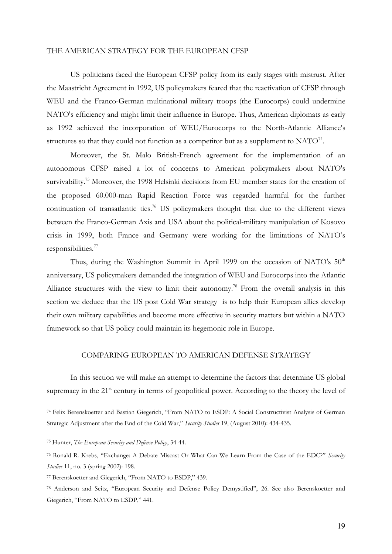#### THE AMERICAN STRATEGY FOR THE EUROPEAN CFSP

US politicians faced the European CFSP policy from its early stages with mistrust. After the Maastricht Agreement in 1992, US policymakers feared that the reactivation of CFSP through WEU and the Franco-German multinational military troops (the Eurocorps) could undermine NATO's efficiency and might limit their influence in Europe. Thus, American diplomats as early as 1992 achieved the incorporation of WEU/Eurocorps to the North-Atlantic Alliance's structures so that they could not function as a competitor but as a supplement to  $\mathrm{NATO}^{\tau_4}$ .

Moreover, the St. Malo British-French agreement for the implementation of an autonomous CFSP raised a lot of concerns to American policymakers about NATO's survivability.<sup>75</sup> Moreover, the 1998 Helsinki decisions from EU member states for the creation of the proposed 60.000-man Rapid Reaction Force was regarded harmful for the further continuation of transatlantic ties.<sup>76</sup> US policymakers thought that due to the different views between the Franco-German Axis and USA about the political-military manipulation of Kosovo crisis in 1999, both France and Germany were working for the limitations of NATO's responsibilities.<sup>77</sup>

Thus, during the Washington Summit in April 1999 on the occasion of NATO's  $50<sup>th</sup>$ anniversary, US policymakers demanded the integration of WEU and Eurocorps into the Atlantic Alliance structures with the view to limit their autonomy.<sup>78</sup> From the overall analysis in this section we deduce that the US post Cold War strategy is to help their European allies develop their own military capabilities and become more effective in security matters but within a NATO framework so that US policy could maintain its hegemonic role in Europe.

#### COMPARING EUROPEAN TO AMERICAN DEFENSE STRATEGY

In this section we will make an attempt to determine the factors that determine US global supremacy in the 21<sup>st</sup> century in terms of geopolitical power. According to the theory the level of

<sup>74</sup> Felix Berenskoetter and Bastian Giegerich, "From NATO to ESDP: A Social Constructivist Analysis of German Strategic Adjustment after the End of the Cold War," *Security Studies* 19, (August 2010): 434-435.

<sup>75</sup> Hunter, *The European Security and Defense Policy*, 34-44.

<sup>76</sup> Ronald R. Krebs, "Exchange: A Debate Miscast-Or What Can We Learn From the Case of the EDC?" *Security Studies* 11, no. 3 (spring 2002): 198.

<sup>77</sup> Berenskoetter and Giegerich, "From NATO to ESDP," 439.

<sup>78</sup> Anderson and Seitz, "European Security and Defense Policy Demystified", 26. See also Berenskoetter and Giegerich, "From NATO to ESDP," 441.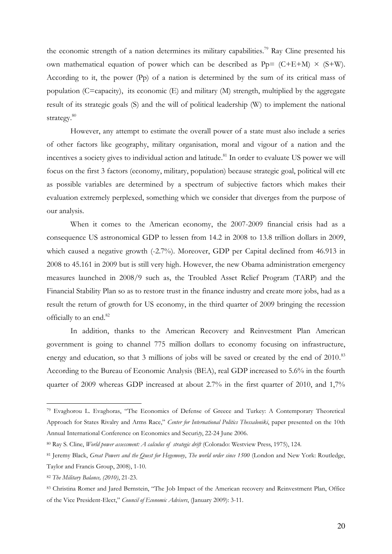the economic strength of a nation determines its military capabilities.<sup>79</sup> Ray Cline presented his own mathematical equation of power which can be described as  $Pp = (C+E+M) \times (S+W)$ . According to it, the power (Pp) of a nation is determined by the sum of its critical mass of population (C=capacity), its economic (E) and military (M) strength, multiplied by the aggregate result of its strategic goals (S) and the will of political leadership (W) to implement the national strategy. $^{80}$ 

However, any attempt to estimate the overall power of a state must also include a series of other factors like geography, military organisation, moral and vigour of a nation and the incentives a society gives to individual action and latitude.<sup>81</sup> In order to evaluate US power we will focus on the first 3 factors (economy, military, population) because strategic goal, political will etc as possible variables are determined by a spectrum of subjective factors which makes their evaluation extremely perplexed, something which we consider that diverges from the purpose of our analysis.

When it comes to the American economy, the 2007-2009 financial crisis had as a consequence US astronomical GDP to lessen from 14.2 in 2008 to 13.8 trillion dollars in 2009, which caused a negative growth (-2.7%). Moreover, GDP per Capital declined from 46.913 in 2008 to 45.161 in 2009 but is still very high. However, the new Obama administration emergency measures launched in 2008/9 such as, the Troubled Asset Relief Program (TARP) and the Financial Stability Plan so as to restore trust in the finance industry and create more jobs, had as a result the return of growth for US economy, in the third quarter of 2009 bringing the recession officially to an end.<sup>82</sup>

In addition, thanks to the American Recovery and Reinvestment Plan American government is going to channel 775 million dollars to economy focusing on infrastructure, energy and education, so that 3 millions of jobs will be saved or created by the end of 2010.<sup>83</sup> According to the Bureau of Economic Analysis (BEA), real GDP increased to 5.6% in the fourth quarter of 2009 whereas GDP increased at about 2.7% in the first quarter of 2010, and 1,7%

<sup>79</sup> Evaghorou L. Evaghoras, "The Economics of Defense of Greece and Turkey: A Contemporary Theoretical Approach for States Rivalry and Arms Race," *Center for International Politics Thessaloniki*, paper presented on the 10th Annual International Conference on Economics and Securi*ty*, 22-24 June 2006.

<sup>80</sup> Ray S. Cline, *World power assessment: A calculus of strategic drift* (Colorado: Westview Press, 1975), 124.

<sup>81</sup> Jeremy Βlack, *Great Powers and the Quest for Hegemony*, *The world order since 1500* (London and New York: Routledge, Taylor and Francis Group, 2008), 1-10.

<sup>82</sup> *The Military Balance, (2010)*, 21-23.

<sup>83</sup> Christina Romer and Jared Bernstein, "The Job Impact of the American recovery and Reinvestment Plan, Office of the Vice President-Elect," *Council of Economic Advisers*, (January 2009): 3-11.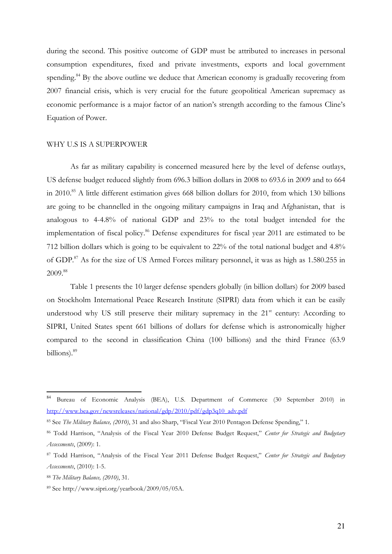during the second. This positive outcome of GDP must be attributed to increases in personal consumption expenditures, fixed and private investments, exports and local government spending.<sup>84</sup> By the above outline we deduce that American economy is gradually recovering from 2007 financial crisis, which is very crucial for the future geopolitical American supremacy as economic performance is a major factor of an nation's strength according to the famous Cline's Equation of Power.

#### WHY U.S IS A SUPERPOWER

As far as military capability is concerned measured here by the level of defense outlays, US defense budget reduced slightly from 696.3 billion dollars in 2008 to 693.6 in 2009 and to 664 in 2010.<sup>85</sup> A little different estimation gives 668 billion dollars for 2010, from which 130 billions are going to be channelled in the ongoing military campaigns in Iraq and Afghanistan, that is analogous to 4-4.8% of national GDP and 23% to the total budget intended for the implementation of fiscal policy.<sup>86</sup> Defense expenditures for fiscal year 2011 are estimated to be 712 billion dollars which is going to be equivalent to 22% of the total national budget and 4.8% of GDP.<sup>87</sup> As for the size of US Armed Forces military personnel, it was as high as 1.580.255 in 2009. 88

Table 1 presents the 10 larger defense spenders globally (in billion dollars) for 2009 based on Stockholm International Peace Research Institute (SIPRI) data from which it can be easily understood why US still preserve their military supremacy in the 21<sup>st</sup> century: According to SIPRI, United States spent 661 billions of dollars for defense which is astronomically higher compared to the second in classification China (100 billions) and the third France (63.9 billions).<sup>89</sup>

<sup>84</sup> Bureau of Economic Analysis (BEA), U.S. Department of Commerce (30 September 2010) in [http://www.bea.gov/newsreleases/national/gdp/2010/pdf/gdp3q10\\_adv.pdf](http://www.bea.gov/newsreleases/national/gdp/2010/pdf/gdp3q10_adv.pdf)

<sup>85</sup> See *The Military Balance, (2010)*, 31 and also Sharp, "Fiscal Year 2010 Pentagon Defense Spending," 1.

<sup>86</sup> Todd Harrison, "Analysis of the Fiscal Year 2010 Defense Budget Request," *Center for Strategic and Budgetary Assessments*, (2009): 1.

<sup>87</sup> Todd Harrison, "Analysis of the Fiscal Year 2011 Defense Budget Request," *Center for Strategic and Budgetary Assessments*, (2010): 1-5.

<sup>88</sup> *The Military Balance, (2010)*, 31.

<sup>89</sup> See http://www.sipri.org/yearbook/2009/05/05A.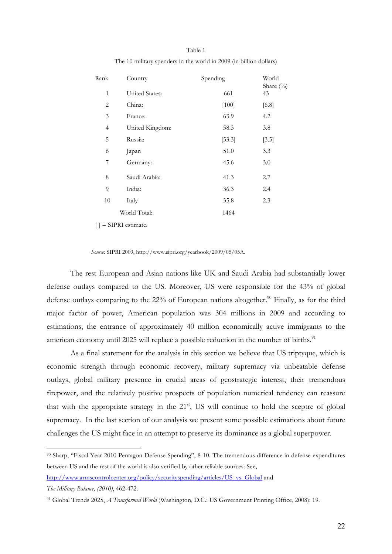| Rank           | Country         | Spending | World<br>Share $(\%)$ |
|----------------|-----------------|----------|-----------------------|
| $\mathbf{1}$   | United States:  | 661      | 43                    |
| $\overline{2}$ | China:          | $[100]$  | [6.8]                 |
| 3              | France:         | 63.9     | 4.2                   |
| $\overline{4}$ | United Kingdom: | 58.3     | 3.8                   |
| 5              | Russia:         | [53.3]   | $[3.5]$               |
| 6              | Japan           | 51.0     | 3.3                   |
| 7              | Germany:        | 45.6     | 3.0                   |
| 8              | Saudi Arabia:   | 41.3     | 2.7                   |
| 9              | India:          | 36.3     | 2.4                   |
| 10             | Italy           | 35.8     | 2.3                   |
|                | World Total:    | 1464     |                       |

Table 1 The 10 military spenders in the world in 2009 (in billion dollars)

 $[$   $]$  = SIPRI estimate.

*Source*: SIPRI 2009, http://www.sipri.org/yearbook/2009/05/05A.

The rest European and Asian nations like UK and Saudi Arabia had substantially lower defense outlays compared to the US. Moreover, US were responsible for the 43% of global defense outlays comparing to the  $22\%$  of European nations altogether.<sup>90</sup> Finally, as for the third major factor of power, American population was 304 millions in 2009 and according to estimations, the entrance of approximately 40 million economically active immigrants to the american economy until 2025 will replace a possible reduction in the number of births.<sup>91</sup>

 As a final statement for the analysis in this section we believe that US triptyque, which is economic strength through economic recovery, military supremacy via unbeatable defense outlays, global military presence in crucial areas of geostrategic interest, their tremendous firepower, and the relatively positive prospects of population numerical tendency can reassure that with the appropriate strategy in the  $21<sup>st</sup>$ , US will continue to hold the sceptre of global supremacy. In the last section of our analysis we present some possible estimations about future challenges the US might face in an attempt to preserve its dominance as a global superpower.

<sup>90</sup> Sharp, "Fiscal Year 2010 Pentagon Defense Spending", 8-10. The tremendous difference in defense expenditures between US and the rest of the world is also verified by other reliable sources: See,

[http://www.armscontrolcenter.org/policy/securityspending/articles/US\\_vs\\_Global](http://www.armscontrolcenter.org/policy/securityspending/articles/US_vs_Global) and

*The Military Balance, (2010)*, 462-472.

<sup>91</sup> Global Trends 2025, *A Transformed World* (Washington, D.C.: US Government Printing Office, 2008): 19.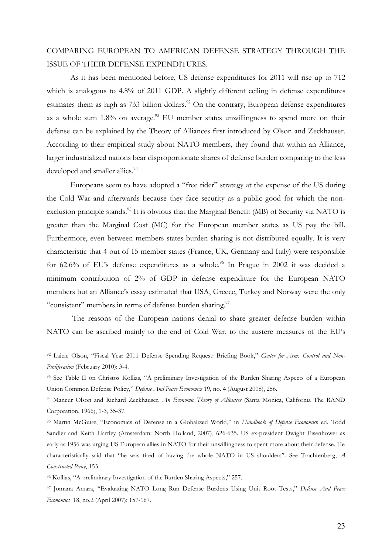### COMPARING EUROPEAN TO AMERICAN DEFENSE STRATEGY THROUGH THE ISSUE OF THEIR DEFENSE EXPENDITURES.

As it has been mentioned before, US defense expenditures for 2011 will rise up to 712 which is analogous to 4.8% of 2011 GDP. A slightly different ceiling in defense expenditures estimates them as high as 733 billion dollars.<sup>92</sup> On the contrary, European defense expenditures as a whole sum  $1.8\%$  on average.<sup>93</sup> EU member states unwillingness to spend more on their defense can be explained by the Theory of Alliances first introduced by Olson and Zeckhauser. According to their empirical study about NATO members, they found that within an Alliance, larger industrialized nations bear disproportionate shares of defense burden comparing to the less developed and smaller allies.<sup>94</sup>

Europeans seem to have adopted a "free rider" strategy at the expense of the US during the Cold War and afterwards because they face security as a public good for which the nonexclusion principle stands.<sup>95</sup> It is obvious that the Marginal Benefit (MB) of Security via NATO is greater than the Marginal Cost (MC) for the European member states as US pay the bill. Furthermore, even between members states burden sharing is not distributed equally. It is very characteristic that 4 out of 15 member states (France, UK, Germany and Italy) were responsible for  $62.6\%$  of EU's defense expenditures as a whole.<sup>96</sup> In Prague in 2002 it was decided a minimum contribution of 2% of GDP in defense expenditure for the European NATO members but an Alliance's essay estimated that USA, Greece, Turkey and Norway were the only "consistent" members in terms of defense burden sharing.<sup>97</sup>

 The reasons of the European nations denial to share greater defense burden within NATO can be ascribed mainly to the end of Cold War, to the austere measures of the EU's

<sup>92</sup> Laicie Olson, "Fiscal Year 2011 Defense Spending Request: Briefing Book," *Center for Arms Control and Non-Proliferation* (February 2010): 3-4.

<sup>93</sup> See Table II on Christos Kollias, "A preliminary Investigation of the Burden Sharing Aspects of a European Union Common Defense Policy," *Defense And Peace Economics* 19, no. 4 (August 2008), 256.

<sup>94</sup> Mancur Olson and Richard Zeckhauser, *An Economic Theory of Alliances* (Santa Monica, California The RAND Corporation, 1966), 1-3, 35-37.

<sup>95</sup> Martin McGuire, "Economics of Defense in a Globalized World," in *Handbook of Defense Economic*s ed. Todd Sandler and Keith Hartley (Amsterdam: North Holland, 2007), 626-635. US ex-president Dwight Eisenhower as early as 1956 was urging US European allies in NATO for their unwillingness to spent more about their defense. He characteristically said that "he was tired of having the whole NATO in US shoulders". See Trachtenberg, *A Constructed Peace*, 153.

<sup>96</sup> Kollias, "A preliminary Investigation of the Burden Sharing Aspects," 257.

<sup>97</sup> Jomana Amara, "Evaluating NATO Long Run Defense Burdens Using Unit Root Tests," *Defense And Peace Economics* 18, no.2 (April 2007): 157-167.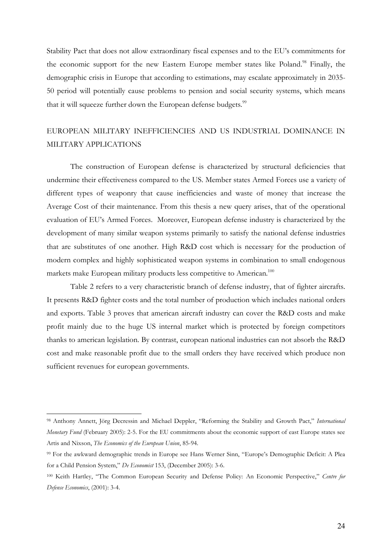Stability Pact that does not allow extraordinary fiscal expenses and to the EU's commitments for the economic support for the new Eastern Europe member states like Poland.<sup>98</sup> Finally, the demographic crisis in Europe that according to estimations, may escalate approximately in 2035- 50 period will potentially cause problems to pension and social security systems, which means that it will squeeze further down the European defense budgets.<sup>99</sup>

### EUROPEAN MILITARY INEFFICIENCIES AND US INDUSTRIAL DOMINANCE IN MILITARY APPLICATIONS

The construction of European defense is characterized by structural deficiencies that undermine their effectiveness compared to the US. Member states Armed Forces use a variety of different types of weaponry that cause inefficiencies and waste of money that increase the Average Cost of their maintenance. From this thesis a new query arises, that of the operational evaluation of EU's Armed Forces. Moreover, European defense industry is characterized by the development of many similar weapon systems primarily to satisfy the national defense industries that are substitutes of one another. High R&D cost which is necessary for the production of modern complex and highly sophisticated weapon systems in combination to small endogenous markets make European military products less competitive to American. $^{100}$ 

Table 2 refers to a very characteristic branch of defense industry, that of fighter aircrafts. It presents R&D fighter costs and the total number of production which includes national orders and exports. Table 3 proves that american aircraft industry can cover the R&D costs and make profit mainly due to the huge US internal market which is protected by foreign competitors thanks to american legislation. By contrast, european national industries can not absorb the R&D cost and make reasonable profit due to the small orders they have received which produce non sufficient revenues for european governments.

<sup>98</sup> Anthony Annett, Jörg Decressin and Michael Deppler, "Reforming the Stability and Growth Pact," *International Monetary Fund* (February 2005): 2-5. For the EU commitments about the economic support of east Europe states see Artis and Nixson, *The Economics of the European Union*, 85-94.

<sup>99</sup> For the awkward demographic trends in Europe see Hans Werner Sinn, "Europe's Demographic Deficit: A Plea for a Child Pension System," *De Economist* 153, (December 2005): 3-6.

<sup>100</sup> Keith Hartley, "The Common European Security and Defense Policy: An Economic Perspective," *Centre for Defense Economics*, (2001): 3-4.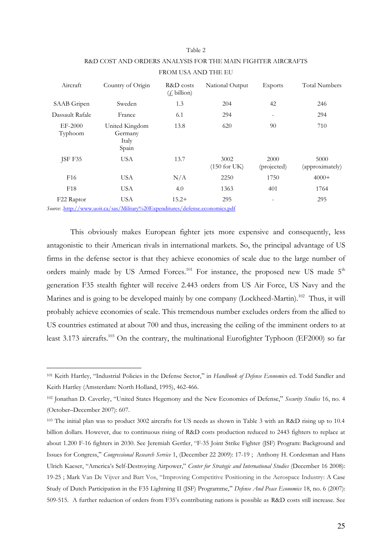#### Table 2

| Aircraft           | Country of Origin                                                                                  | R&D costs<br>$(f, \text{billion})$ | National Output           | <b>Exports</b>      | <b>Total Numbers</b>    |  |
|--------------------|----------------------------------------------------------------------------------------------------|------------------------------------|---------------------------|---------------------|-------------------------|--|
| SAAB Gripen        | Sweden                                                                                             | 1.3                                | 204                       | 42                  | 246                     |  |
| Dassault Rafale    | France                                                                                             | 6.1                                | 294                       | -                   | 294                     |  |
| EF-2000<br>Typhoom | United Kingdom<br>Germany<br>Italy<br>Spain                                                        | 13.8                               | 620                       | 90                  | 710                     |  |
| JSF F35            | <b>USA</b>                                                                                         | 13.7                               | 3002<br>$(150$ for UK $)$ | 2000<br>(projected) | 5000<br>(approximately) |  |
| F <sub>16</sub>    | USA                                                                                                | N/A                                | 2250                      | 1750                | $4000+$                 |  |
| F <sub>18</sub>    | <b>USA</b>                                                                                         | 4.0                                | 1363                      | 401                 | 1764                    |  |
| F22 Raptor         | <b>USA</b><br><i>Source</i> : http://www.uoit.ca/sas/Military%20Expenditures/defense.economics.pdf | $15.2+$                            | 295                       |                     | 295                     |  |

### R&D COST AND ORDERS ANALYSIS FOR THE MAIN FIGHTER AIRCRAFTS FROM USA AND THE EU

This obviously makes European fighter jets more expensive and consequently, less antagonistic to their American rivals in international markets. So, the principal advantage of US firms in the defense sector is that they achieve economies of scale due to the large number of orders mainly made by US Armed Forces.<sup>101</sup> For instance, the proposed new US made  $5<sup>th</sup>$ generation F35 stealth fighter will receive 2.443 orders from US Air Force, US Navy and the Marines and is going to be developed mainly by one company (Lockheed-Martin).<sup>102</sup> Thus, it will probably achieve economies of scale. This tremendous number excludes orders from the allied to US countries estimated at about 700 and thus, increasing the ceiling of the imminent orders to at least 3.173 aircrafts.<sup>103</sup> On the contrary, the multinational Eurofighter Typhoon (EF2000) so far

<sup>&</sup>lt;sup>101</sup> Keith Hartley, "Industrial Policies in the Defense Sector," in *Handbook of Defense Economic*s ed. Todd Sandler and Keith Hartley (Amsterdam: North Holland, 1995), 462-466.

<sup>&</sup>lt;sup>102</sup> Jonathan D. Caverley, "United States Hegemony and the New Economics of Defense," *Security Studies* 16, no. 4 (October–December 2007): 607.

<sup>&</sup>lt;sup>103</sup> The initial plan was to product 3002 aircrafts for US needs as shown in Table 3 with an R&D rising up to 10.4 billion dollars. However, due to continuous rising of R&D costs production reduced to 2443 fighters to replace at about 1.200 F-16 fighters in 2030. See Jeremiah Gertler, "F-35 Joint Strike Fighter (JSF) Program: Background and Issues for Congress," Congressional Research Service 1, (December 22 2009): 17-19; Anthony H. Cordesman and Hans Ulrich Kaeser, "America's Self-Destroying Airpower," *Center for Strategic and International Studies* (December 16 2008): 19-25 ; Mark Van De Vijver and Bart Vos, "Improving Competitive Positioning in the Aerospace Industry: A Case Study of Dutch Participation in the F35 Lightning II (JSF) Programme," *Defense And Peace Economics* 18, no. 6 (2007): 509-515. A further reduction of orders from F35's contributing nations is possible as R&D costs still increase. See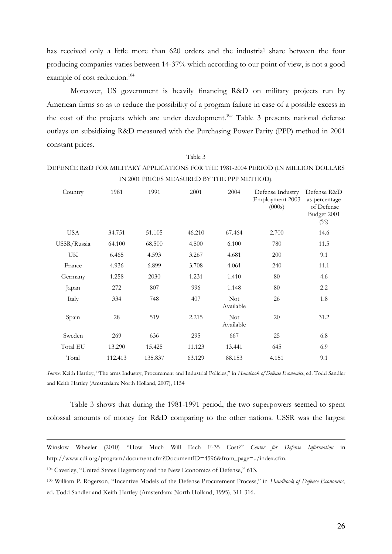has received only a little more than 620 orders and the industrial share between the four producing companies varies between 14-37% which according to our point of view, is not a good example of cost reduction.<sup>104</sup>

Moreover, US government is heavily financing R&D on military projects run by American firms so as to reduce the possibility of a program failure in case of a possible excess in the cost of the projects which are under development.<sup>105</sup> Table 3 presents national defense outlays on subsidizing R&D measured with the Purchasing Power Parity (ΡΡΡ) method in 2001 constant prices.

#### Table 3

#### DEFENCE R&D FOR MILITARY APPLICATIONS FOR THE 1981-2004 PERIOD (IN MILLION DOLLARS IN 2001 PRICES MEASURED BY THE PPP METHOD).

| Country     | 1981    | 1991    | 2001   | 2004                    | Defense Industry<br>Employment 2003<br>(000s) | Defense R&D<br>as percentage<br>of Defense<br>Budget 2001<br>$(^{0}_{0})$ |
|-------------|---------|---------|--------|-------------------------|-----------------------------------------------|---------------------------------------------------------------------------|
| <b>USA</b>  | 34.751  | 51.105  | 46.210 | 67.464                  | 2.700                                         | 14.6                                                                      |
| USSR/Russia | 64.100  | 68.500  | 4.800  | 6.100                   | 780                                           | 11.5                                                                      |
| UK          | 6.465   | 4.593   | 3.267  | 4.681                   | 200                                           | 9.1                                                                       |
| France      | 4.936   | 6.899   | 3.708  | 4.061                   | 240                                           | 11.1                                                                      |
| Germany     | 1.258   | 2030    | 1.231  | 1.410                   | 80                                            | 4.6                                                                       |
| Japan       | 272     | 807     | 996    | 1.148                   | 80                                            | 2.2                                                                       |
| Italy       | 334     | 748     | 407    | <b>Not</b><br>Available | 26                                            | 1.8                                                                       |
| Spain       | 28      | 519     | 2.215  | <b>Not</b><br>Available | 20                                            | 31.2                                                                      |
| Sweden      | 269     | 636     | 295    | 667                     | 25                                            | 6.8                                                                       |
| Total EU    | 13.290  | 15.425  | 11.123 | 13.441                  | 645                                           | 6.9                                                                       |
| Total       | 112.413 | 135.837 | 63.129 | 88.153                  | 4.151                                         | 9.1                                                                       |

*Source*: Keith Hartley, "The arms Industry, Procurement and Industrial Policies," in *Handbook of Defense Economics*, ed. Todd Sandler and Keith Hartley (Amsterdam: North Holland, 2007), 1154

Table 3 shows that during the 1981-1991 period, the two superpowers seemed to spent colossal amounts of money for R&D comparing to the other nations. USSR was the largest

Winslow Wheeler (2010) "How Much Will Each F-35 Cost?" Center for Defense Information in http://www.cdi.org/program/document.cfm?DocumentID=4596&from\_page=../index.cfm.

<sup>&</sup>lt;sup>104</sup> Caverley, "United States Hegemony and the New Economics of Defense," 613.

<sup>105</sup> William P. Rogerson, "Incentive Models of the Defense Procurement Process," in *Handbook of Defense Economics*, ed. Todd Sandler and Keith Hartley (Amsterdam: North Holland, 1995), 311-316.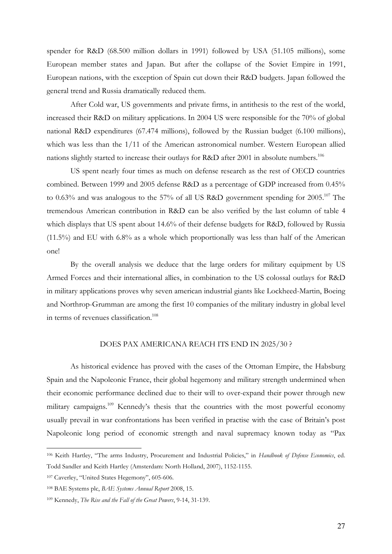spender for R&D (68.500 million dollars in 1991) followed by USA (51.105 millions), some European member states and Japan. But after the collapse of the Soviet Empire in 1991, European nations, with the exception of Spain cut down their R&D budgets. Japan followed the general trend and Russia dramatically reduced them.

 After Cold war, US governments and private firms, in antithesis to the rest of the world, increased their R&D on military applications. In 2004 US were responsible for the 70% of global national R&D expenditures (67.474 millions), followed by the Russian budget (6.100 millions), which was less than the 1/11 of the American astronomical number. Western European allied nations slightly started to increase their outlays for R&D after 2001 in absolute numbers.<sup>106</sup>

US spent nearly four times as much on defense research as the rest of OECD countries combined. Between 1999 and 2005 defense R&D as a percentage of GDP increased from 0.45% to 0.63% and was analogous to the 57% of all US R&D government spending for 2005.<sup>107</sup> The tremendous American contribution in R&D can be also verified by the last column of table 4 which displays that US spent about 14.6% of their defense budgets for R&D, followed by Russia (11.5%) and EU with 6.8% as a whole which proportionally was less than half of the American one!

By the overall analysis we deduce that the large orders for military equipment by US Armed Forces and their international allies, in combination to the US colossal outlays for R&D in military applications proves why seven american industrial giants like Lockheed-Martin, Boeing and Northrop-Grumman are among the first 10 companies of the military industry in global level in terms of revenues classification.<sup>108</sup>

#### DOES PAX AMERICANA REACH ITS END IN 2025/30 ?

As historical evidence has proved with the cases of the Ottoman Empire, the Habsburg Spain and the Napoleonic France, their global hegemony and military strength undermined when their economic performance declined due to their will to over-expand their power through new military campaigns.<sup>109</sup> Kennedy's thesis that the countries with the most powerful economy usually prevail in war confrontations has been verified in practise with the case of Britain's post Napoleonic long period of economic strength and naval supremacy known today as "Pax

<sup>106</sup> Keith Hartley, "The arms Industry, Procurement and Industrial Policies," in *Handbook of Defense Economics*, ed. Todd Sandler and Keith Hartley (Amsterdam: North Holland, 2007), 1152-1155.

<sup>107</sup> Caverley, "United States Hegemony", 605-606.

<sup>108</sup> ΒΑΕ Systems plc, *BAE Systems Annual Report* 2008, 15.

<sup>109</sup> Kennedy, *The Rise and the Fall of the Great Powers*, 9-14, 31-139.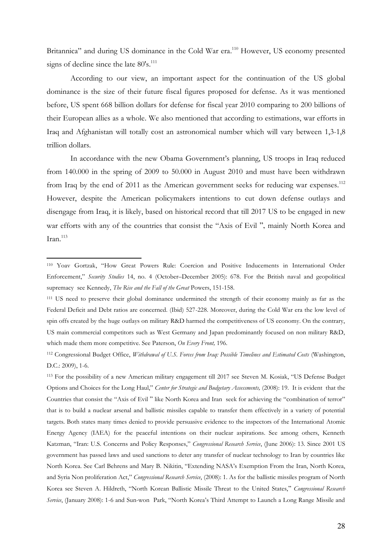Britannica" and during US dominance in the Cold War era.<sup>110</sup> However, US economy presented signs of decline since the late  $80's$ <sup>111</sup>

According to our view, an important aspect for the continuation of the US global dominance is the size of their future fiscal figures proposed for defense. As it was mentioned before, US spent 668 billion dollars for defense for fiscal year 2010 comparing to 200 billions of their European allies as a whole. We also mentioned that according to estimations, war efforts in Iraq and Afghanistan will totally cost an astronomical number which will vary between 1,3-1,8 trillion dollars.

In accordance with the new Obama Government's planning, US troops in Iraq reduced from 140.000 in the spring of 2009 to 50.000 in August 2010 and must have been withdrawn from Iraq by the end of 2011 as the American government seeks for reducing war expenses.<sup>112</sup> However, despite the American policymakers intentions to cut down defense outlays and disengage from Iraq, it is likely, based on historical record that till 2017 US to be engaged in new war efforts with any of the countries that consist the "Axis of Evil ", mainly North Korea and Iran. $^{113}$ 

l

<sup>113</sup> For the possibility of a new American military engagement till 2017 see Steven M. Kosiak, "US Defense Budget Options and Choices for the Long Haul," *Center for Strategic and Budgetary Assessments,* (2008): 19. It is evident that the Countries that consist the "Axis of Evil " like North Korea and Iran seek for achieving the "combination of terror" that is to build a nuclear arsenal and ballistic missiles capable to transfer them effectively in a variety of potential targets. Both states many times denied to provide persuasive evidence to the inspectors of the International Atomic Energy Agency (IAEA) for the peaceful intentions on their nuclear aspirations. See among others, Kenneth Katzman, "Iran: U.S. Concerns and Policy Responses," *Congressional Research Service*, (June 2006): 13. Since 2001 US government has passed laws and used sanctions to deter any transfer of nuclear technology to Iran by countries like North Korea. See Carl Behrens and Mary B. Nikitin, "Extending NASA's Exemption From the Iran, North Korea, and Syria Non proliferation Act," *Congressional Research Service*, (2008): 1. As for the ballistic missiles program of North Korea see Steven A. Hildreth, "North Korean Ballistic Missile Threat to the United States," *Congressional Research Service*, (January 2008): 1-6 and Sun-won Park, "North Korea's Third Attempt to Launch a Long Range Missile and

<sup>110</sup> Yoav Gortzak, "How Great Powers Rule: Coercion and Positive Inducements in International Order Enforcement," *Security Studies* 14, no. 4 (October–December 2005): 678. For the British naval and geopolitical supremacy see Kennedy, *The Rise and the Fall of the Great* Powers, 151-158.

<sup>111</sup> US need to preserve their global dominance undermined the strength of their economy mainly as far as the Federal Deficit and Debt ratios are concerned. (Ibid) 527-228. Moreover, during the Cold War era the low level of spin offs created by the huge outlays on military R&D harmed the competitiveness of US economy. On the contrary, US main commercial competitors such as West Germany and Japan predominantly focused on non military R&D, which made them more competitive. See Paterson, *On Every Front,* 196.

<sup>112</sup> Congressional Budget Office, *Withdrawal of U.S. Forces from Iraq: Possible Timelines and Estimated Costs* (Washington, D.C.: 2009), 1-6.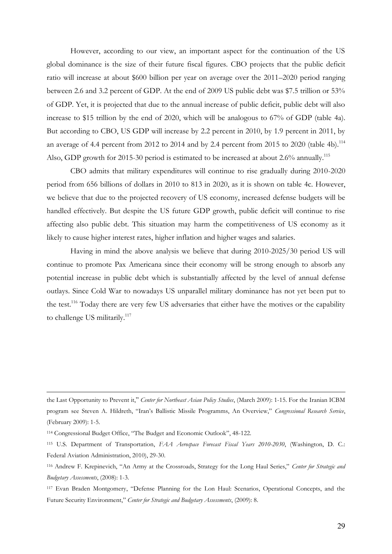However, according to our view, an important aspect for the continuation of the US global dominance is the size of their future fiscal figures. CBO projects that the public deficit ratio will increase at about \$600 billion per year on average over the 2011–2020 period ranging between 2.6 and 3.2 percent of GDP. At the end of 2009 US public debt was \$7.5 trillion or 53% of GDP. Yet, it is projected that due to the annual increase of public deficit, public debt will also increase to \$15 trillion by the end of 2020, which will be analogous to 67% of GDP (table 4a). But according to CBO, US GDP will increase by 2.2 percent in 2010, by 1.9 percent in 2011, by an average of 4.4 percent from 2012 to 2014 and by 2.4 percent from 2015 to 2020 (table 4b).<sup>114</sup> Also, GDP growth for 2015-30 period is estimated to be increased at about 2.6% annually.<sup>115</sup>

CBO admits that military expenditures will continue to rise gradually during 2010-2020 period from 656 billions of dollars in 2010 to 813 in 2020, as it is shown on table 4c. However, we believe that due to the projected recovery of US economy, increased defense budgets will be handled effectively. But despite the US future GDP growth, public deficit will continue to rise affecting also public debt. This situation may harm the competitiveness of US economy as it likely to cause higher interest rates, higher inflation and higher wages and salaries.

Having in mind the above analysis we believe that during 2010-2025/30 period US will continue to promote Pax Americana since their economy will be strong enough to absorb any potential increase in public debt which is substantially affected by the level of annual defense outlays. Since Cold War to nowadays US unparallel military dominance has not yet been put to the test.<sup>116</sup> Today there are very few US adversaries that either have the motives or the capability to challenge US militarily.<sup>117</sup>

the Last Opportunity to Prevent it," Center for Northeast Asian Policy Studies, (March 2009): 1-15. For the Iranian ICBM program see Steven A. Hildreth, "Iran's Ballistic Missile Programms, An Overview," *Congressional Research Service*, (February 2009): 1-5.

<sup>114</sup> Congressional Budget Office, "The Budget and Economic Outlook", 48-122.

<sup>115</sup> U.S. Department of Transportation, *FAA Aerospace Forecast Fiscal Years 2010-2030*, (Washington, D. C.: Federal Aviation Administration, 2010), 29-30.

<sup>116</sup> Andrew F. Krepinevich, "An Army at the Crossroads, Strategy for the Long Haul Series," *Center for Strategic and Budgetary Assessments*, (2008): 1-3.

<sup>117</sup> Evan Braden Montgomery, "Defense Planning for the Lon Haul: Scenarios, Operational Concepts, and the Future Security Environment," *Center for Strategic and Budgetary Assessments*, (2009): 8.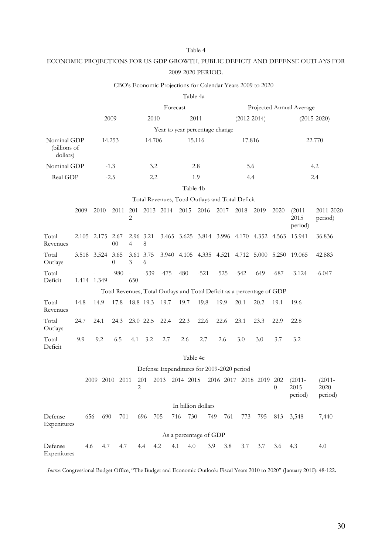#### Table 4

### ECONOMIC PROJECTIONS FOR US GDP GROWTH, PUBLIC DEFICIT AND DEFENSE OUTLAYS FOR 2009-2020 PERIOD.

#### CBO's Economic Projections for Calendar Years 2009 to 2020

|                                                 |                  |        |          |                            |                |                 |              | Table 4a                                                               |                          |                         |                 |        |        |                              |                              |
|-------------------------------------------------|------------------|--------|----------|----------------------------|----------------|-----------------|--------------|------------------------------------------------------------------------|--------------------------|-------------------------|-----------------|--------|--------|------------------------------|------------------------------|
|                                                 |                  |        | Forecast |                            |                |                 |              |                                                                        | Projected Annual Average |                         |                 |        |        |                              |                              |
| 2009                                            |                  | 2010   |          |                            | 2011           | $(2012 - 2014)$ |              |                                                                        |                          |                         | $(2015 - 2020)$ |        |        |                              |                              |
|                                                 |                  |        |          |                            |                |                 |              | Year to year percentage change                                         |                          |                         |                 |        |        |                              |                              |
| Nominal GDP<br>(billions of<br>dollars)         |                  |        | 14.253   |                            | 14.706         |                 |              | 15.116                                                                 |                          | 17.816                  |                 | 22.770 |        |                              |                              |
| Nominal GDP                                     |                  |        | $-1.3$   |                            | 3.2            |                 |              | 2.8                                                                    |                          | 5.6                     |                 |        | 4.2    |                              |                              |
| Real GDP                                        |                  |        | $-2.5$   |                            | 2.2            |                 |              | 1.9                                                                    |                          | 4.4                     |                 | 2.4    |        |                              |                              |
|                                                 |                  |        |          |                            |                |                 |              | Table 4b                                                               |                          |                         |                 |        |        |                              |                              |
| Total Revenues, Total Outlays and Total Deficit |                  |        |          |                            |                |                 |              |                                                                        |                          |                         |                 |        |        |                              |                              |
|                                                 | 2009             | 2010   |          | 2011                       | 2              |                 |              | 201 2013 2014 2015 2016 2017                                           |                          |                         | 2018            | 2019   | 2020   | $(2011 -$<br>2015<br>period) | 2011-2020<br>period)         |
| Total<br>Revenues                               |                  |        |          | 2.105 2.175 2.67<br>$00\,$ | $\overline{4}$ | 2.96 3.21<br>8  |              | 3.465 3.625 3.814 3.996 4.170 4.352 4.563                              |                          |                         |                 |        |        | 15.941                       | 36.836                       |
| Total<br>Outlays                                | 3.518 3.524 3.65 |        |          | $\Omega$                   | 3              | 3.61 3.75<br>6  |              | 3.940 4.105 4.335 4.521 4.712 5.000 5.250 19.065                       |                          |                         |                 |        |        |                              | 42.883                       |
| Total<br>Deficit                                | 1.414 1.349      |        |          | $-980$                     | $\sim$<br>650  |                 | $-539 - 475$ | 480                                                                    | $-521$                   | $-525$                  | $-542$          | $-649$ | $-687$ | $-3.124$                     | $-6.047$                     |
|                                                 |                  |        |          |                            |                |                 |              | Total Revenues, Total Outlays and Total Deficit as a percentage of GDP |                          |                         |                 |        |        |                              |                              |
| Total<br>Revenues                               | 14.8             | 14.9   |          | 17.8                       |                | 18.8 19.3 19.7  |              | 19.7                                                                   | 19.8                     | 19.9                    | 20.1            | 20.2   | 19.1   | 19.6                         |                              |
| Total<br>Outlays                                | 24.7             | 24.1   |          | 24.3                       |                | 23.0 22.5       | 22.4         | 22.3                                                                   | 22.6                     | 22.6                    | 23.1            | 23.3   | 22.9   | 22.8                         |                              |
| Total<br>Deficit                                | $-9.9$           | $-9.2$ |          | $-6.5$                     |                | $-4.1 -3.2$     | $-2.7$       | $-2.6$                                                                 | $-2.7$                   | $-2.6$                  | $-3.0$          | $-3.0$ | $-3.7$ | $-3.2$                       |                              |
|                                                 |                  |        |          |                            |                |                 |              | Table 4c                                                               |                          |                         |                 |        |        |                              |                              |
| Defense Expenditures for 2009-2020 period       |                  |        |          |                            |                |                 |              |                                                                        |                          |                         |                 |        |        |                              |                              |
|                                                 |                  |        |          | 2009 2010 2011             | 2              | 201             |              | 2013 2014 2015                                                         |                          | 2016 2017 2018 2019 202 |                 |        | $0 -$  | $(2011 -$<br>2015<br>period) | $(2011 -$<br>2020<br>period) |
|                                                 |                  |        |          |                            |                |                 |              | In billion dollars                                                     |                          |                         |                 |        |        |                              |                              |
| Defense<br>Expenitures                          |                  | 656    | 690      | 701                        |                | 696             | 705          | 716<br>730                                                             | 749                      | 761                     | 773             | 795    | 813    | 3,548                        | 7,440                        |
|                                                 |                  |        |          |                            |                |                 |              | As a percentage of GDP                                                 |                          |                         |                 |        |        |                              |                              |
| Defense<br>Expenitures                          |                  | 4.6    | 4.7      | 4.7                        |                | 4.4             | 4.2          | 4.1<br>4.0                                                             | 3.9                      | 3.8                     | 3.7             | 3.7    | 3.6    | 4.3                          | 4.0                          |

*Source*: Congressional Budget Office, "The Budget and Economic Outlook: Fiscal Years 2010 to 2020" (January 2010): 48-122.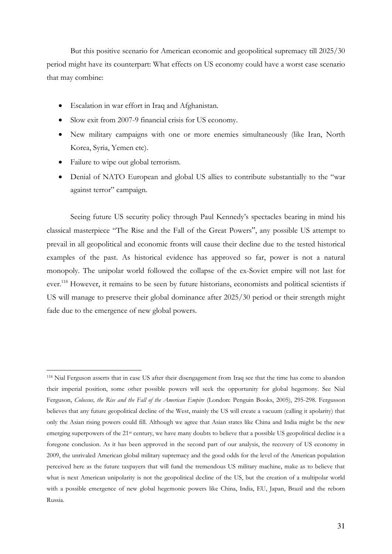But this positive scenario for American economic and geopolitical supremacy till 2025/30 period might have its counterpart: What effects on US economy could have a worst case scenario that may combine:

- Escalation in war effort in Iraq and Afghanistan.
- Slow exit from 2007-9 financial crisis for US economy.
- New military campaigns with one or more enemies simultaneously (like Iran, North Korea, Syria, Yemen etc).
- Failure to wipe out global terrorism.

l

• Denial of NATO European and global US allies to contribute substantially to the "war against terror" campaign.

Seeing future US security policy through Paul Kennedy's spectacles bearing in mind his classical masterpiece "The Rise and the Fall of the Great Powers", any possible US attempt to prevail in all geopolitical and economic fronts will cause their decline due to the tested historical examples of the past. As historical evidence has approved so far, power is not a natural monopoly. The unipolar world followed the collapse of the ex-Soviet empire will not last for ever.<sup>118</sup> However, it remains to be seen by future historians, economists and political scientists if US will manage to preserve their global dominance after 2025/30 period or their strength might fade due to the emergence of new global powers.

<sup>118</sup> Nial Ferguson asserts that in case US after their disengagement from Iraq see that the time has come to abandon their imperial position, some other possible powers will seek the opportunity for global hegemony. See Nial Ferguson, *Colossus, the Rise and the Fall of the American Empire* (London: Penguin Books, 2005), 295-298. Fergusson believes that any future geopolitical decline of the West, mainly the US will create a vacuum (calling it apolarity) that only the Asian rising powers could fill. Although we agree that Asian states like China and India might be the new emerging superpowers of the 21<sup>st</sup> century, we have many doubts to believe that a possible US geopolitical decline is a foregone conclusion. As it has been approved in the second part of our analysis, the recovery of US economy in 2009, the unrivaled American global military supremacy and the good odds for the level of the American population perceived here as the future taxpayers that will fund the tremendous US military machine, make as to believe that what is next American unipolarity is not the geopolitical decline of the US, but the creation of a multipolar world with a possible emergence of new global hegemonic powers like China, India, EU, Japan, Brazil and the reborn Russia.